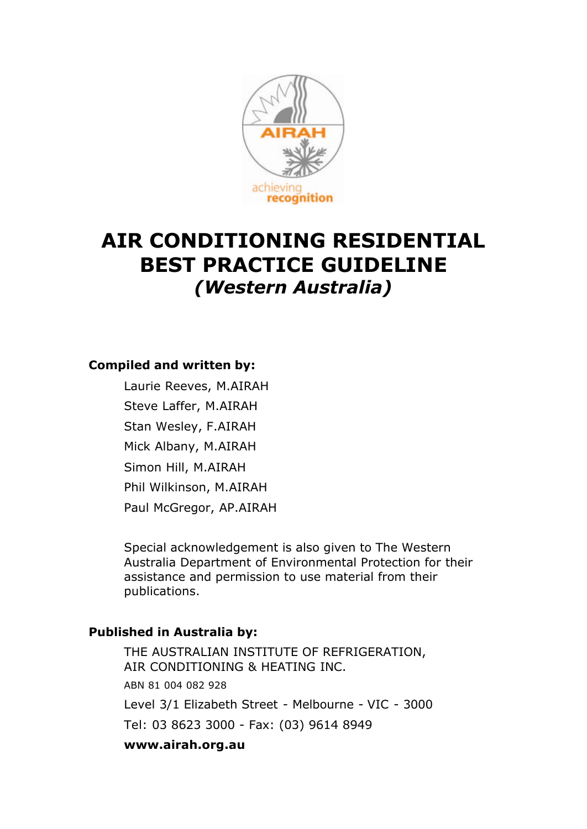

# **AIR CONDITIONING RESIDENTIAL BEST PRACTICE GUIDELINE** *(Western Australia)*

## **Compiled and written by:**

Laurie Reeves, M.AIRAH Steve Laffer, M.AIRAH Stan Wesley, F.AIRAH Mick Albany, M.AIRAH Simon Hill, M.AIRAH Phil Wilkinson, M.AIRAH Paul McGregor, AP.AIRAH

Special acknowledgement is also given to The Western Australia Department of Environmental Protection for their assistance and permission to use material from their publications.

## **Published in Australia by:**

THE AUSTRALIAN INSTITUTE OF REFRIGERATION, AIR CONDITIONING & HEATING INC. ABN 81 004 082 928 Level 3/1 Elizabeth Street - Melbourne - VIC - 3000 Tel: 03 8623 3000 - Fax: (03) 9614 8949 **www.airah.org.au**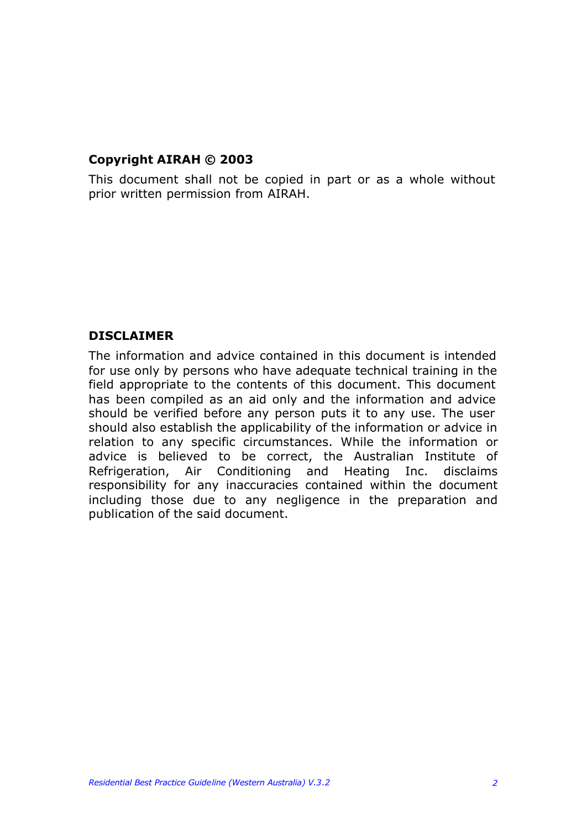## **Copyright AIRAH © 2003**

This document shall not be copied in part or as a whole without prior written permission from AIRAH.

### **DISCLAIMER**

The information and advice contained in this document is intended for use only by persons who have adequate technical training in the field appropriate to the contents of this document. This document has been compiled as an aid only and the information and advice should be verified before any person puts it to any use. The user should also establish the applicability of the information or advice in relation to any specific circumstances. While the information or advice is believed to be correct, the Australian Institute of Refrigeration, Air Conditioning and Heating Inc. disclaims responsibility for any inaccuracies contained within the document including those due to any negligence in the preparation and publication of the said document.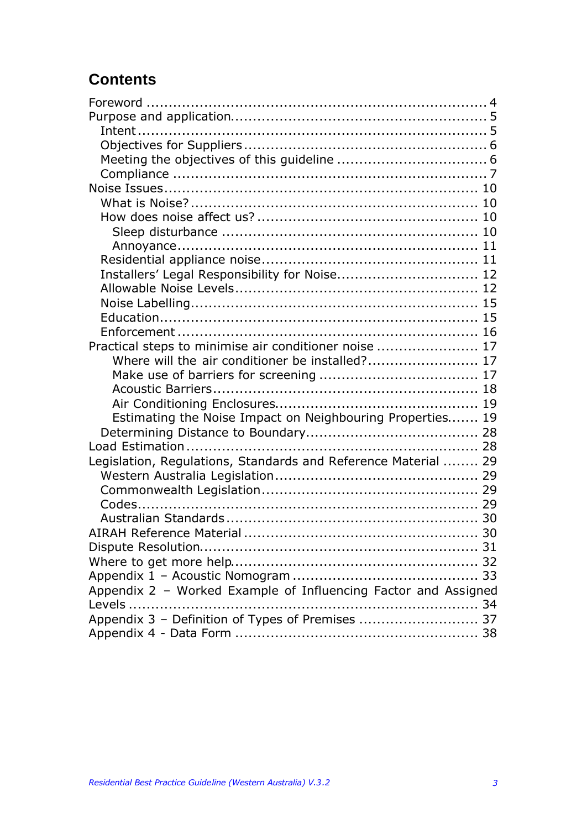# **Contents**

| Installers' Legal Responsibility for Noise 12                  |
|----------------------------------------------------------------|
|                                                                |
|                                                                |
|                                                                |
|                                                                |
| Practical steps to minimise air conditioner noise  17          |
| Where will the air conditioner be installed? 17                |
|                                                                |
|                                                                |
|                                                                |
| Estimating the Noise Impact on Neighbouring Properties 19      |
|                                                                |
|                                                                |
| Legislation, Regulations, Standards and Reference Material  29 |
|                                                                |
|                                                                |
|                                                                |
|                                                                |
|                                                                |
|                                                                |
|                                                                |
|                                                                |
| Appendix 2 - Worked Example of Influencing Factor and Assigned |
|                                                                |
| Appendix 3 - Definition of Types of Premises  37               |
|                                                                |
|                                                                |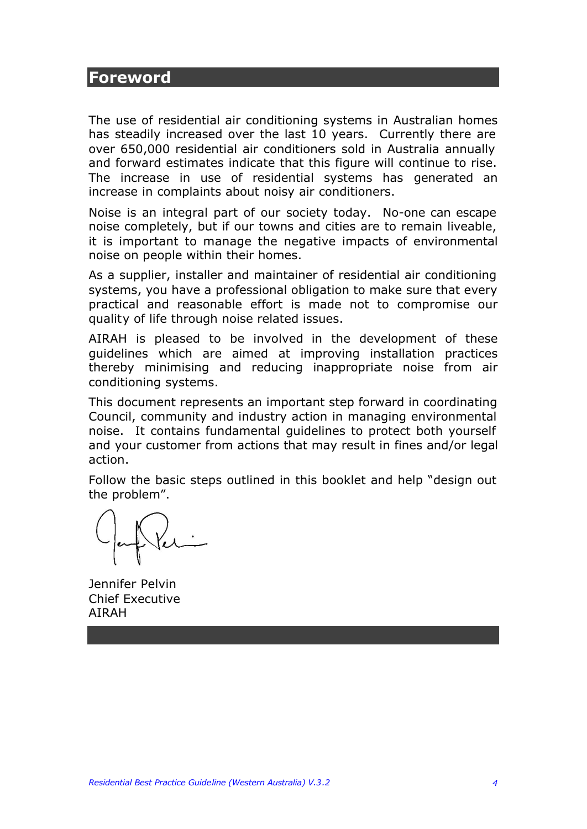## **Foreword**

The use of residential air conditioning systems in Australian homes has steadily increased over the last 10 years. Currently there are over 650,000 residential air conditioners sold in Australia annually and forward estimates indicate that this figure will continue to rise. The increase in use of residential systems has generated an increase in complaints about noisy air conditioners.

Noise is an integral part of our society today. No-one can escape noise completely, but if our towns and cities are to remain liveable, it is important to manage the negative impacts of environmental noise on people within their homes.

As a supplier, installer and maintainer of residential air conditioning systems, you have a professional obligation to make sure that every practical and reasonable effort is made not to compromise our quality of life through noise related issues.

AIRAH is pleased to be involved in the development of these guidelines which are aimed at improving installation practices thereby minimising and reducing inappropriate noise from air conditioning systems.

This document represents an important step forward in coordinating Council, community and industry action in managing environmental noise. It contains fundamental guidelines to protect both yourself and your customer from actions that may result in fines and/or legal action.

Follow the basic steps outlined in this booklet and help "design out the problem".

Jennifer Pelvin Chief Executive AIRAH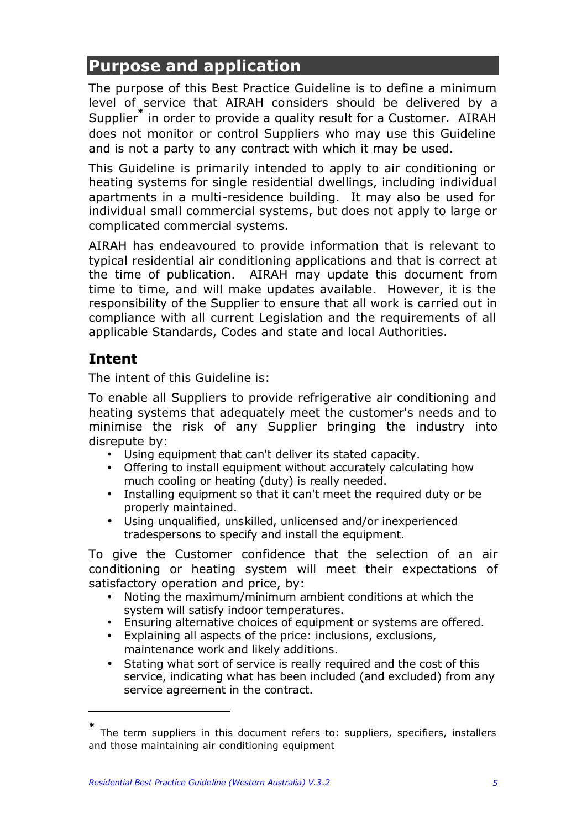# **Purpose and application**

The purpose of this Best Practice Guideline is to define a minimum level of service that AIRAH considers should be delivered by a Supplier**\*** in order to provide a quality result for a Customer. AIRAH does not monitor or control Suppliers who may use this Guideline and is not a party to any contract with which it may be used.

This Guideline is primarily intended to apply to air conditioning or heating systems for single residential dwellings, including individual apartments in a multi-residence building. It may also be used for individual small commercial systems, but does not apply to large or complicated commercial systems.

AIRAH has endeavoured to provide information that is relevant to typical residential air conditioning applications and that is correct at the time of publication. AIRAH may update this document from time to time, and will make updates available. However, it is the responsibility of the Supplier to ensure that all work is carried out in compliance with all current Legislation and the requirements of all applicable Standards, Codes and state and local Authorities.

# **Intent**

 $\overline{a}$ 

The intent of this Guideline is:

To enable all Suppliers to provide refrigerative air conditioning and heating systems that adequately meet the customer's needs and to minimise the risk of any Supplier bringing the industry into disrepute by:

- Using equipment that can't deliver its stated capacity.
- Offering to install equipment without accurately calculating how much cooling or heating (duty) is really needed.
- Installing equipment so that it can't meet the required duty or be properly maintained.
- Using unqualified, unskilled, unlicensed and/or inexperienced tradespersons to specify and install the equipment.

To give the Customer confidence that the selection of an air conditioning or heating system will meet their expectations of satisfactory operation and price, by:

- Noting the maximum/minimum ambient conditions at which the system will satisfy indoor temperatures.
- Ensuring alternative choices of equipment or systems are offered.
- Explaining all aspects of the price: inclusions, exclusions, maintenance work and likely additions.
- Stating what sort of service is really required and the cost of this service, indicating what has been included (and excluded) from any service agreement in the contract.

**<sup>\*</sup>** The term suppliers in this document refers to: suppliers, specifiers, installers and those maintaining air conditioning equipment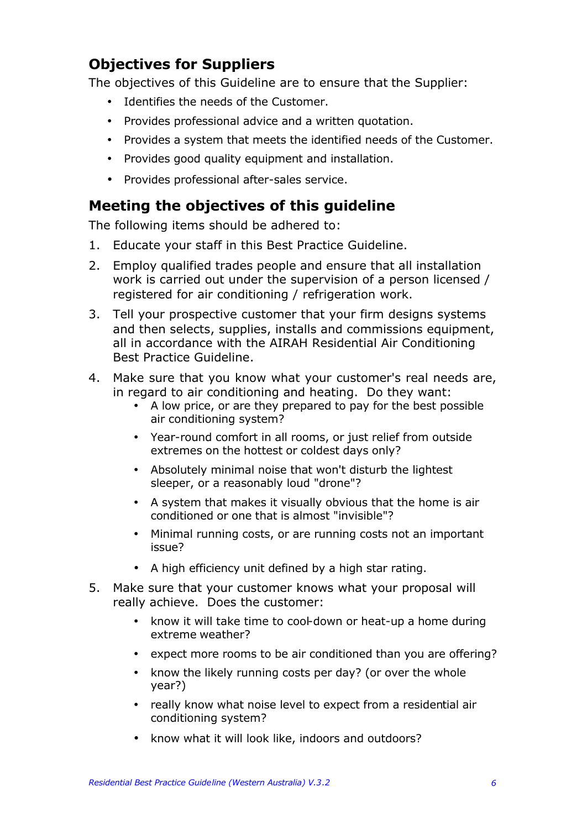# **Objectives for Suppliers**

The objectives of this Guideline are to ensure that the Supplier:

- Identifies the needs of the Customer.
- Provides professional advice and a written quotation.
- Provides a system that meets the identified needs of the Customer.
- Provides good quality equipment and installation.
- Provides professional after-sales service.

# **Meeting the objectives of this guideline**

The following items should be adhered to:

- 1. Educate your staff in this Best Practice Guideline.
- 2. Employ qualified trades people and ensure that all installation work is carried out under the supervision of a person licensed / registered for air conditioning / refrigeration work.
- 3. Tell your prospective customer that your firm designs systems and then selects, supplies, installs and commissions equipment, all in accordance with the AIRAH Residential Air Conditioning Best Practice Guideline.
- 4. Make sure that you know what your customer's real needs are, in regard to air conditioning and heating. Do they want:
	- A low price, or are they prepared to pay for the best possible air conditioning system?
	- Year-round comfort in all rooms, or just relief from outside extremes on the hottest or coldest days only?
	- Absolutely minimal noise that won't disturb the lightest sleeper, or a reasonably loud "drone"?
	- A system that makes it visually obvious that the home is air conditioned or one that is almost "invisible"?
	- Minimal running costs, or are running costs not an important issue?
	- A high efficiency unit defined by a high star rating.
- 5. Make sure that your customer knows what your proposal will really achieve. Does the customer:
	- know it will take time to cool-down or heat-up a home during extreme weather?
	- expect more rooms to be air conditioned than you are offering?
	- know the likely running costs per day? (or over the whole year?)
	- really know what noise level to expect from a residential air conditioning system?
	- know what it will look like, indoors and outdoors?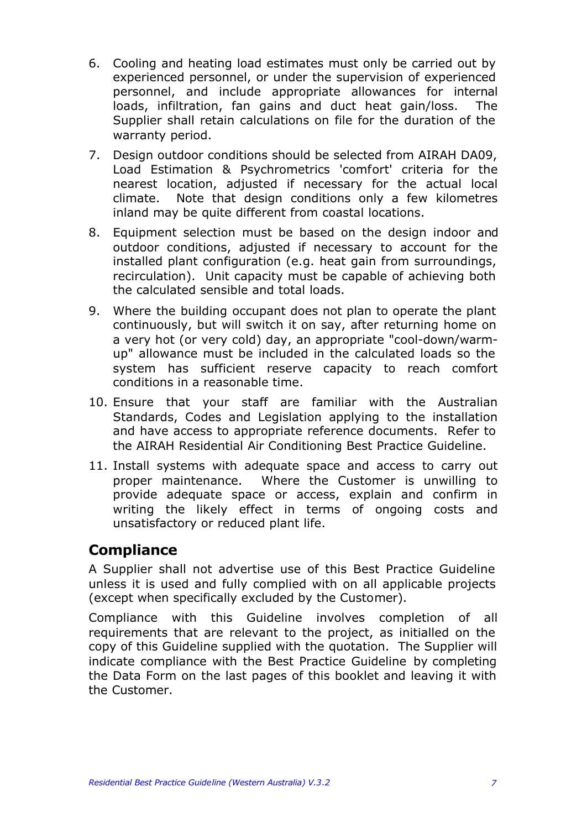- 6. Cooling and heating load estimates must only be carried out by experienced personnel, or under the supervision of experienced personnel, and include appropriate allowances for internal loads, infiltration, fan gains and duct heat gain/loss. The Supplier shall retain calculations on file for the duration of the warranty period.
- 7. Design outdoor conditions should be selected from AIRAH DA09, Load Estimation & Psychrometrics 'comfort' criteria for the nearest location, adjusted if necessary for the actual local climate. Note that design conditions only a few kilometres inland may be quite different from coastal locations.
- 8. Equipment selection must be based on the design indoor and outdoor conditions, adjusted if necessary to account for the installed plant configuration (e.g. heat gain from surroundings, recirculation). Unit capacity must be capable of achieving both the calculated sensible and total loads.
- 9. Where the building occupant does not plan to operate the plant continuously, but will switch it on say, after returning home on a very hot (or very cold) day, an appropriate "cool-down/warmup" allowance must be included in the calculated loads so the system has sufficient reserve capacity to reach comfort conditions in a reasonable time.
- 10. Ensure that your staff are familiar with the Australian Standards, Codes and Legislation applying to the installation and have access to appropriate reference documents. Refer to the AIRAH Residential Air Conditioning Best Practice Guideline.
- 11. Install systems with adequate space and access to carry out proper maintenance. Where the Customer is unwilling to provide adequate space or access, explain and confirm in writing the likely effect in terms of ongoing costs and unsatisfactory or reduced plant life.

## **Compliance**

A Supplier shall not advertise use of this Best Practice Guideline unless it is used and fully complied with on all applicable projects (except when specifically excluded by the Customer).

Compliance with this Guideline involves completion of all requirements that are relevant to the project, as initialled on the copy of this Guideline supplied with the quotation. The Supplier will indicate compliance with the Best Practice Guideline by completing the Data Form on the last pages of this booklet and leaving it with the Customer.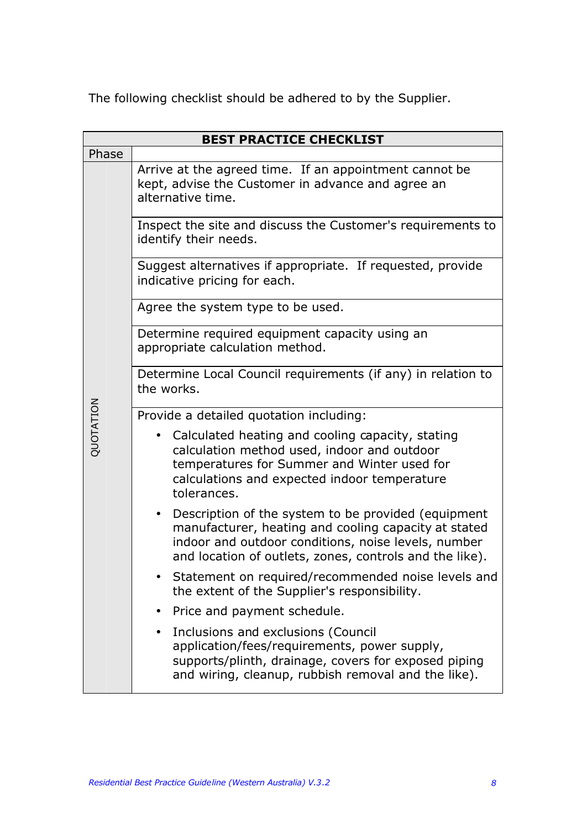The following checklist should be adhered to by the Supplier.

| <b>BEST PRACTICE CHECKLIST</b> |                                                                                                                                                                                                                               |  |  |  |  |  |
|--------------------------------|-------------------------------------------------------------------------------------------------------------------------------------------------------------------------------------------------------------------------------|--|--|--|--|--|
| Phase                          |                                                                                                                                                                                                                               |  |  |  |  |  |
|                                | Arrive at the agreed time. If an appointment cannot be<br>kept, advise the Customer in advance and agree an<br>alternative time.                                                                                              |  |  |  |  |  |
|                                | Inspect the site and discuss the Customer's requirements to<br>identify their needs.                                                                                                                                          |  |  |  |  |  |
|                                | Suggest alternatives if appropriate. If requested, provide<br>indicative pricing for each.                                                                                                                                    |  |  |  |  |  |
|                                | Agree the system type to be used.                                                                                                                                                                                             |  |  |  |  |  |
|                                | Determine required equipment capacity using an<br>appropriate calculation method.                                                                                                                                             |  |  |  |  |  |
|                                | Determine Local Council requirements (if any) in relation to<br>the works.                                                                                                                                                    |  |  |  |  |  |
|                                | Provide a detailed quotation including:                                                                                                                                                                                       |  |  |  |  |  |
| QUOTATION                      | Calculated heating and cooling capacity, stating<br>calculation method used, indoor and outdoor<br>temperatures for Summer and Winter used for<br>calculations and expected indoor temperature<br>tolerances.                 |  |  |  |  |  |
|                                | Description of the system to be provided (equipment<br>manufacturer, heating and cooling capacity at stated<br>indoor and outdoor conditions, noise levels, number<br>and location of outlets, zones, controls and the like). |  |  |  |  |  |
|                                | Statement on required/recommended noise levels and<br>the extent of the Supplier's responsibility.                                                                                                                            |  |  |  |  |  |
|                                | Price and payment schedule.                                                                                                                                                                                                   |  |  |  |  |  |
|                                | Inclusions and exclusions (Council<br>application/fees/requirements, power supply,<br>supports/plinth, drainage, covers for exposed piping<br>and wiring, cleanup, rubbish removal and the like).                             |  |  |  |  |  |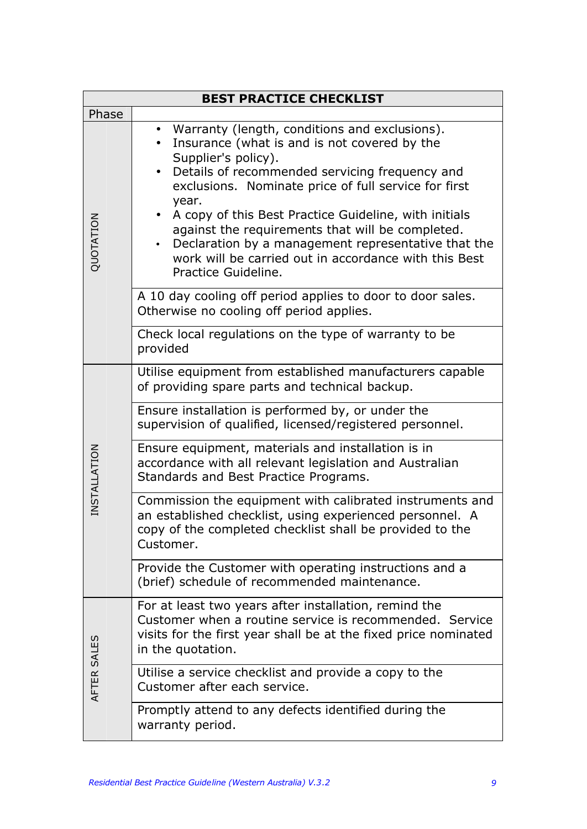|              | <b>BEST PRACTICE CHECKLIST</b>                                                                                                                                                                                                                                                                                                                                                                                                                                                                           |  |  |  |  |
|--------------|----------------------------------------------------------------------------------------------------------------------------------------------------------------------------------------------------------------------------------------------------------------------------------------------------------------------------------------------------------------------------------------------------------------------------------------------------------------------------------------------------------|--|--|--|--|
| Phase        |                                                                                                                                                                                                                                                                                                                                                                                                                                                                                                          |  |  |  |  |
| QUOTATION    | Warranty (length, conditions and exclusions).<br>$\bullet$<br>Insurance (what is and is not covered by the<br>Supplier's policy).<br>Details of recommended servicing frequency and<br>exclusions. Nominate price of full service for first<br>year.<br>A copy of this Best Practice Guideline, with initials<br>against the requirements that will be completed.<br>Declaration by a management representative that the<br>work will be carried out in accordance with this Best<br>Practice Guideline. |  |  |  |  |
|              | A 10 day cooling off period applies to door to door sales.<br>Otherwise no cooling off period applies.                                                                                                                                                                                                                                                                                                                                                                                                   |  |  |  |  |
|              | Check local regulations on the type of warranty to be<br>provided                                                                                                                                                                                                                                                                                                                                                                                                                                        |  |  |  |  |
|              | Utilise equipment from established manufacturers capable<br>of providing spare parts and technical backup.                                                                                                                                                                                                                                                                                                                                                                                               |  |  |  |  |
|              | Ensure installation is performed by, or under the<br>supervision of qualified, licensed/registered personnel.                                                                                                                                                                                                                                                                                                                                                                                            |  |  |  |  |
| INSTALLATION | Ensure equipment, materials and installation is in<br>accordance with all relevant legislation and Australian<br>Standards and Best Practice Programs.                                                                                                                                                                                                                                                                                                                                                   |  |  |  |  |
|              | Commission the equipment with calibrated instruments and<br>an established checklist, using experienced personnel. A<br>copy of the completed checklist shall be provided to the<br>Customer.                                                                                                                                                                                                                                                                                                            |  |  |  |  |
|              | Provide the Customer with operating instructions and a<br>(brief) schedule of recommended maintenance.                                                                                                                                                                                                                                                                                                                                                                                                   |  |  |  |  |
|              | For at least two years after installation, remind the<br>Customer when a routine service is recommended. Service<br>visits for the first year shall be at the fixed price nominated<br>in the quotation.                                                                                                                                                                                                                                                                                                 |  |  |  |  |
| AFTER SALES  | Utilise a service checklist and provide a copy to the<br>Customer after each service.                                                                                                                                                                                                                                                                                                                                                                                                                    |  |  |  |  |
|              | Promptly attend to any defects identified during the<br>warranty period.                                                                                                                                                                                                                                                                                                                                                                                                                                 |  |  |  |  |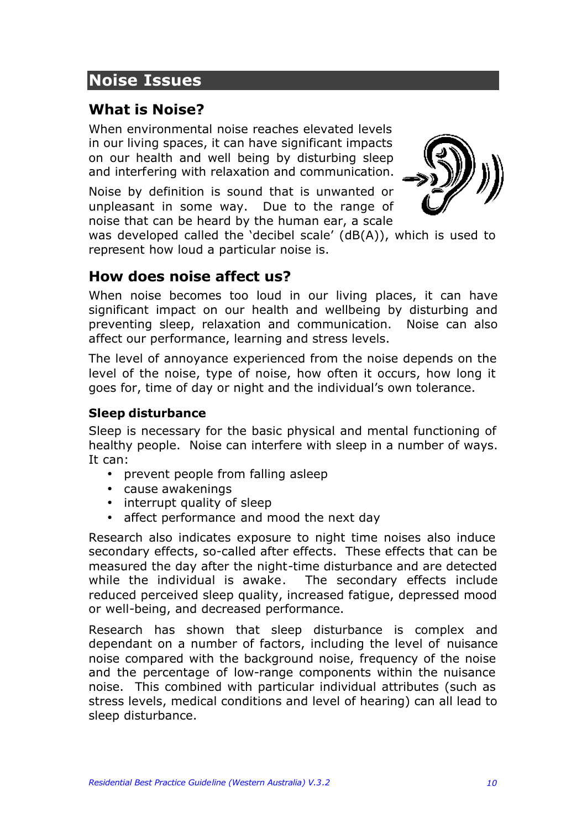# **Noise Issues**

# **What is Noise?**

When environmental noise reaches elevated levels in our living spaces, it can have significant impacts on our health and well being by disturbing sleep and interfering with relaxation and communication.

Noise by definition is sound that is unwanted or unpleasant in some way. Due to the range of noise that can be heard by the human ear, a scale



was developed called the 'decibel scale' (dB(A)), which is used to represent how loud a particular noise is.

## **How does noise affect us?**

When noise becomes too loud in our living places, it can have significant impact on our health and wellbeing by disturbing and preventing sleep, relaxation and communication. Noise can also affect our performance, learning and stress levels.

The level of annoyance experienced from the noise depends on the level of the noise, type of noise, how often it occurs, how long it goes for, time of day or night and the individual's own tolerance.

## **Sleep disturbance**

Sleep is necessary for the basic physical and mental functioning of healthy people. Noise can interfere with sleep in a number of ways. It can:

- prevent people from falling asleep
- cause awakenings
- interrupt quality of sleep
- affect performance and mood the next day

Research also indicates exposure to night time noises also induce secondary effects, so-called after effects. These effects that can be measured the day after the night-time disturbance and are detected while the individual is awake. The secondary effects include reduced perceived sleep quality, increased fatigue, depressed mood or well-being, and decreased performance.

Research has shown that sleep disturbance is complex and dependant on a number of factors, including the level of nuisance noise compared with the background noise, frequency of the noise and the percentage of low-range components within the nuisance noise. This combined with particular individual attributes (such as stress levels, medical conditions and level of hearing) can all lead to sleep disturbance.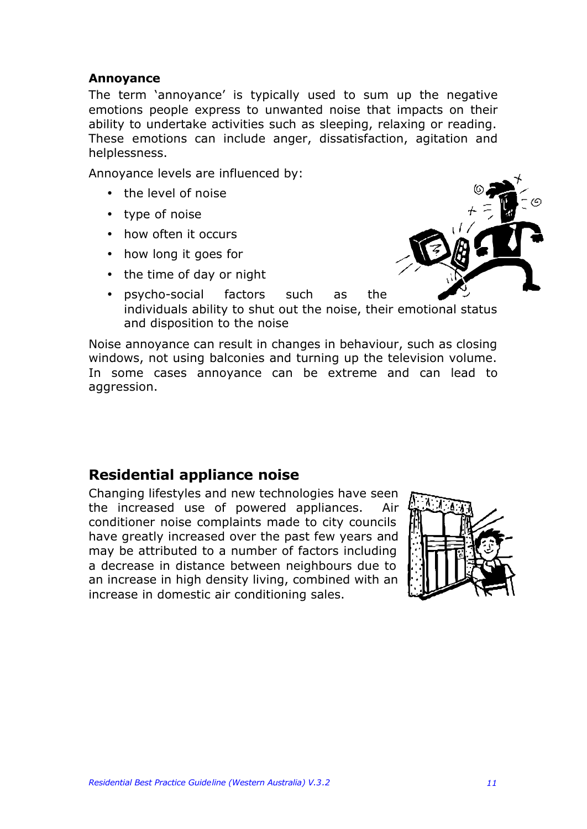### **Annoyance**

The term 'annoyance' is typically used to sum up the negative emotions people express to unwanted noise that impacts on their ability to undertake activities such as sleeping, relaxing or reading. These emotions can include anger, dissatisfaction, agitation and helplessness.

Annoyance levels are influenced by:

- the level of noise
- type of noise
- how often it occurs
- how long it goes for
- the time of day or night



• psycho-social factors such as the individuals ability to shut out the noise, their emotional status and disposition to the noise

Noise annoyance can result in changes in behaviour, such as closing windows, not using balconies and turning up the television volume. In some cases annoyance can be extreme and can lead to aggression.

## **Residential appliance noise**

Changing lifestyles and new technologies have seen the increased use of powered appliances. Air conditioner noise complaints made to city councils have greatly increased over the past few years and may be attributed to a number of factors including a decrease in distance between neighbours due to an increase in high density living, combined with an increase in domestic air conditioning sales.

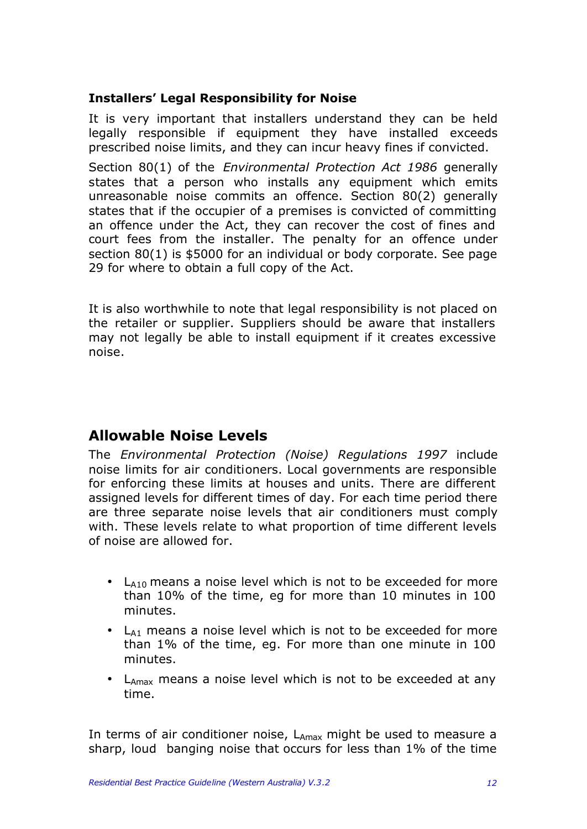## **Installers' Legal Responsibility for Noise**

It is very important that installers understand they can be held legally responsible if equipment they have installed exceeds prescribed noise limits, and they can incur heavy fines if convicted.

Section 80(1) of the *Environmental Protection Act 1986* generally states that a person who installs any equipment which emits unreasonable noise commits an offence. Section 80(2) generally states that if the occupier of a premises is convicted of committing an offence under the Act, they can recover the cost of fines and court fees from the installer. The penalty for an offence under section 80(1) is \$5000 for an individual or body corporate. See page 29 for where to obtain a full copy of the Act.

It is also worthwhile to note that legal responsibility is not placed on the retailer or supplier. Suppliers should be aware that installers may not legally be able to install equipment if it creates excessive noise.

## **Allowable Noise Levels**

The *Environmental Protection (Noise) Regulations 1997* include noise limits for air conditioners. Local governments are responsible for enforcing these limits at houses and units. There are different assigned levels for different times of day. For each time period there are three separate noise levels that air conditioners must comply with. These levels relate to what proportion of time different levels of noise are allowed for.

- $L_{A10}$  means a noise level which is not to be exceeded for more than 10% of the time, eg for more than 10 minutes in 100 minutes.
- $\bullet$  L<sub>A1</sub> means a noise level which is not to be exceeded for more than 1% of the time, eg. For more than one minute in 100 minutes.
- $L_{\text{Amax}}$  means a noise level which is not to be exceeded at any time.

In terms of air conditioner noise, LAmax might be used to measure a sharp, loud banging noise that occurs for less than 1% of the time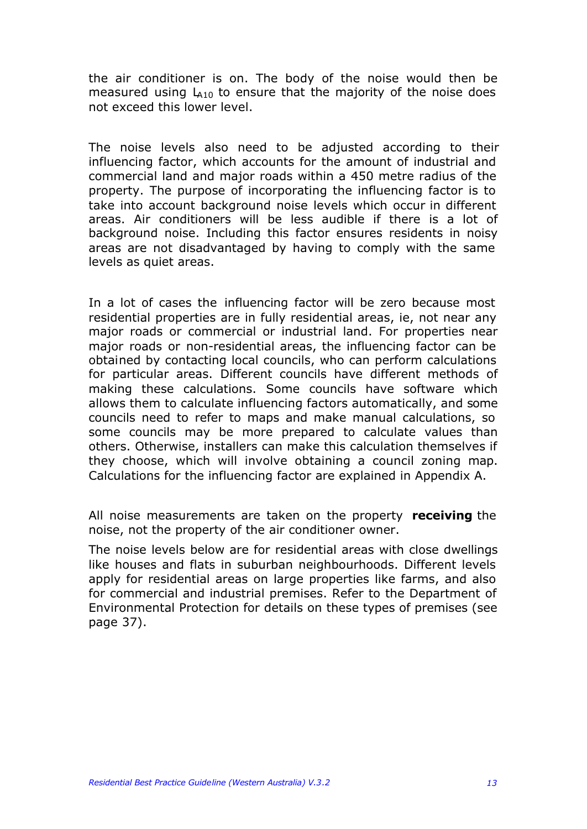the air conditioner is on. The body of the noise would then be measured using  $L_{410}$  to ensure that the majority of the noise does not exceed this lower level.

The noise levels also need to be adjusted according to their influencing factor, which accounts for the amount of industrial and commercial land and major roads within a 450 metre radius of the property. The purpose of incorporating the influencing factor is to take into account background noise levels which occur in different areas. Air conditioners will be less audible if there is a lot of background noise. Including this factor ensures residents in noisy areas are not disadvantaged by having to comply with the same levels as quiet areas.

In a lot of cases the influencing factor will be zero because most residential properties are in fully residential areas, ie, not near any major roads or commercial or industrial land. For properties near major roads or non-residential areas, the influencing factor can be obtained by contacting local councils, who can perform calculations for particular areas. Different councils have different methods of making these calculations. Some councils have software which allows them to calculate influencing factors automatically, and some councils need to refer to maps and make manual calculations, so some councils may be more prepared to calculate values than others. Otherwise, installers can make this calculation themselves if they choose, which will involve obtaining a council zoning map. Calculations for the influencing factor are explained in Appendix A.

All noise measurements are taken on the property **receiving** the noise, not the property of the air conditioner owner.

The noise levels below are for residential areas with close dwellings like houses and flats in suburban neighbourhoods. Different levels apply for residential areas on large properties like farms, and also for commercial and industrial premises. Refer to the Department of Environmental Protection for details on these types of premises (see page 37).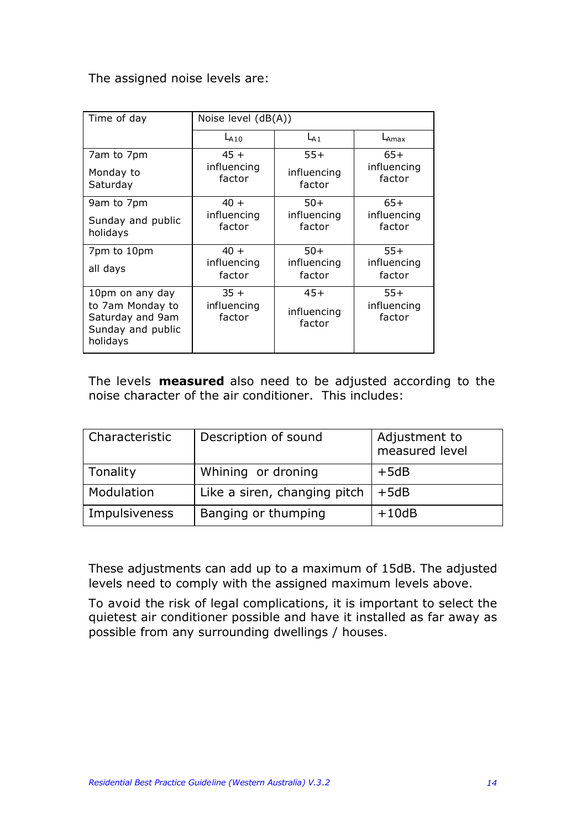The assigned noise levels are:

| Time of day                                                                              | Noise level $(dB(A))$           |                                |                                |  |
|------------------------------------------------------------------------------------------|---------------------------------|--------------------------------|--------------------------------|--|
|                                                                                          | $L_{A10}$                       | $L_{A1}$                       | $L_{\text{Amax}}$              |  |
| 7am to 7pm                                                                               | $45 +$<br>influencing           | $55+$                          | $65+$<br>influencing           |  |
| Monday to<br>Saturday                                                                    | factor                          | influencing<br>factor          | factor                         |  |
| 9am to 7pm                                                                               | $40 +$                          | $50+$                          | $65+$                          |  |
| Sunday and public<br>holidays                                                            | influencing<br>factor           | influencing<br>factor          | influencing<br>factor          |  |
| 7pm to 10pm                                                                              | $40 +$                          | $50+$                          | $55+$                          |  |
| all days                                                                                 | influencing<br>factor           | influencing<br>factor          | influencing<br>factor          |  |
| 10pm on any day<br>to 7am Monday to<br>Saturday and 9am<br>Sunday and public<br>holidays | $35 +$<br>influencing<br>factor | $45+$<br>influencing<br>factor | $55+$<br>influencing<br>factor |  |

The levels **measured** also need to be adjusted according to the noise character of the air conditioner. This includes:

| Characteristic | Description of sound         | Adjustment to<br>measured level |
|----------------|------------------------------|---------------------------------|
| Tonality       | Whining or droning           | $+5dB$                          |
| Modulation     | Like a siren, changing pitch | $+5dB$                          |
| Impulsiveness  | Banging or thumping          | $+10dB$                         |

These adjustments can add up to a maximum of 15dB. The adjusted levels need to comply with the assigned maximum levels above.

To avoid the risk of legal complications, it is important to select the quietest air conditioner possible and have it installed as far away as possible from any surrounding dwellings / houses.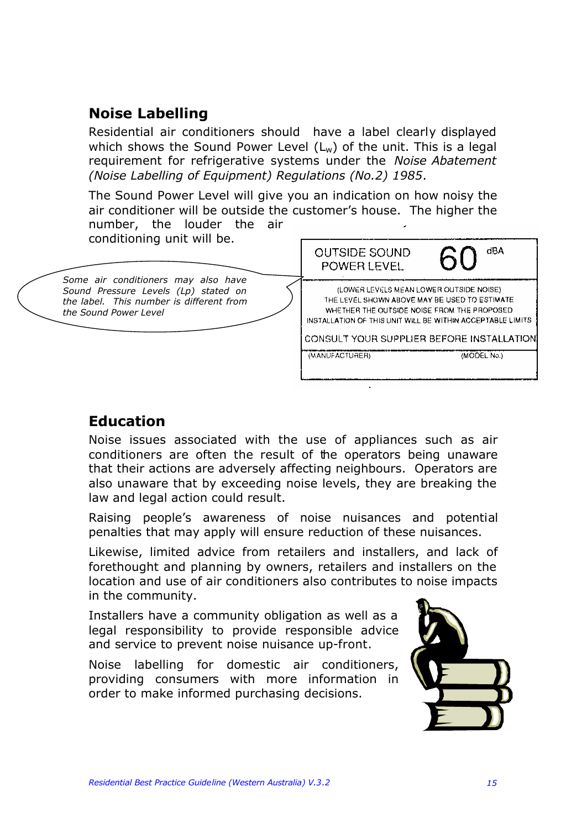# **Noise Labelling**

Residential air conditioners should have a label clearly displayed which shows the Sound Power Level  $(L_w)$  of the unit. This is a legal requirement for refrigerative systems under the *Noise Abatement (Noise Labelling of Equipment) Regulations (No.2) 1985*.

The Sound Power Level will give you an indication on how noisy the air conditioner will be outside the customer's house. The higher the number, the louder the air



# **Education**

Noise issues associated with the use of appliances such as air conditioners are often the result of the operators being unaware that their actions are adversely affecting neighbours. Operators are also unaware that by exceeding noise levels, they are breaking the law and legal action could result.

Raising people's awareness of noise nuisances and potential penalties that may apply will ensure reduction of these nuisances.

Likewise, limited advice from retailers and installers, and lack of forethought and planning by owners, retailers and installers on the location and use of air conditioners also contributes to noise impacts in the community.

Installers have a community obligation as well as a legal responsibility to provide responsible advice and service to prevent noise nuisance up-front.

Noise labelling for domestic air conditioners, providing consumers with more information in order to make informed purchasing decisions.

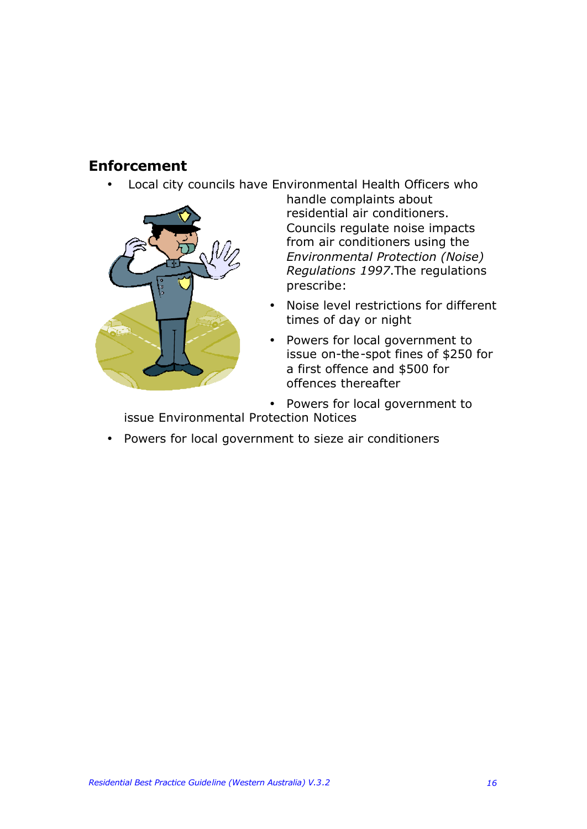# **Enforcement**

• Local city councils have Environmental Health Officers who



handle complaints about residential air conditioners. Councils regulate noise impacts from air conditioners using the *Environmental Protection (Noise) Regulations 1997*.The regulations prescribe:

- Noise level restrictions for different times of day or night
- Powers for local government to issue on-the-spot fines of \$250 for a first offence and \$500 for offences thereafter

• Powers for local government to issue Environmental Protection Notices

• Powers for local government to sieze air conditioners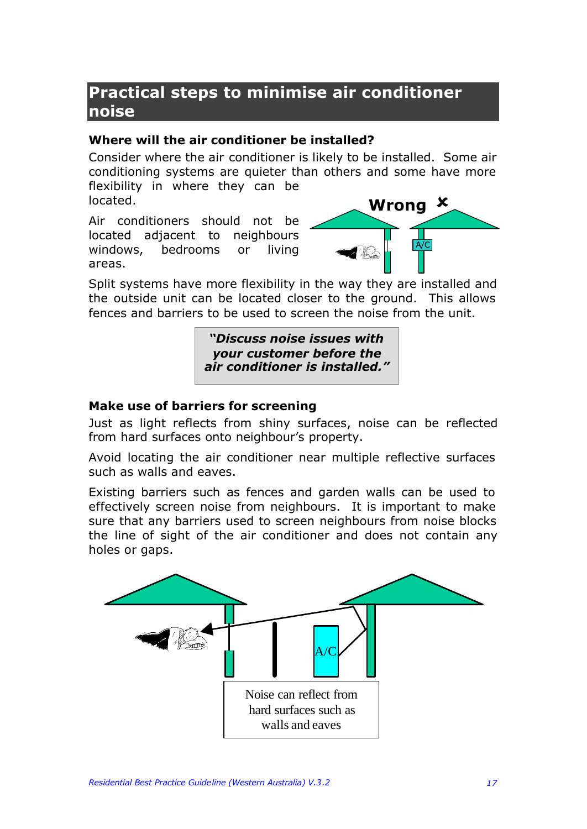# **Practical steps to minimise air conditioner noise**

### **Where will the air conditioner be installed?**

Consider where the air conditioner is likely to be installed. Some air conditioning systems are quieter than others and some have more flexibility in where they can be located.

Air conditioners should not be located adjacent to neighbours windows, bedrooms or living areas.



Split systems have more flexibility in the way they are installed and the outside unit can be located closer to the ground. This allows fences and barriers to be used to screen the noise from the unit.

> *"Discuss noise issues with your customer before the air conditioner is installed."*

## **Make use of barriers for screening**

Just as light reflects from shiny surfaces, noise can be reflected from hard surfaces onto neighbour's property.

Avoid locating the air conditioner near multiple reflective surfaces such as walls and eaves.

Existing barriers such as fences and garden walls can be used to effectively screen noise from neighbours. It is important to make sure that any barriers used to screen neighbours from noise blocks the line of sight of the air conditioner and does not contain any holes or gaps.

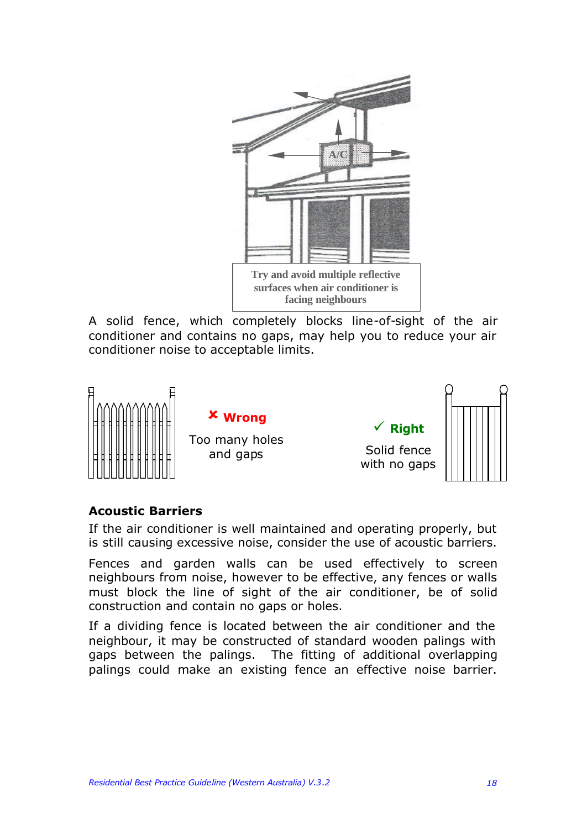

A solid fence, which completely blocks line-of-sight of the air conditioner and contains no gaps, may help you to reduce your air conditioner noise to acceptable limits.



### **Acoustic Barriers**

If the air conditioner is well maintained and operating properly, but is still causing excessive noise, consider the use of acoustic barriers.

Fences and garden walls can be used effectively to screen neighbours from noise, however to be effective, any fences or walls must block the line of sight of the air conditioner, be of solid construction and contain no gaps or holes.

If a dividing fence is located between the air conditioner and the neighbour, it may be constructed of standard wooden palings with gaps between the palings. The fitting of additional overlapping palings could make an existing fence an effective noise barrier.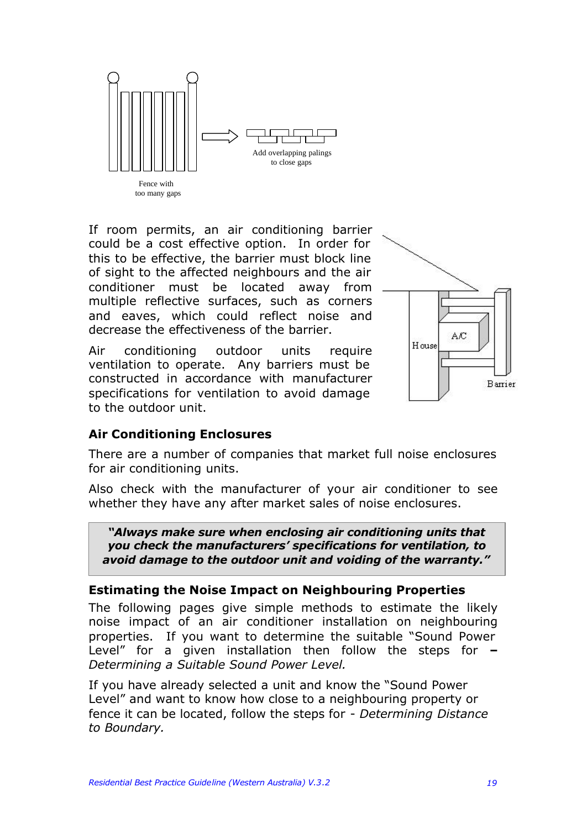

If room permits, an air conditioning barrier could be a cost effective option. In order for this to be effective, the barrier must block line of sight to the affected neighbours and the air conditioner must be located away from multiple reflective surfaces, such as corners and eaves, which could reflect noise and decrease the effectiveness of the barrier.

Air conditioning outdoor units require ventilation to operate. Any barriers must be constructed in accordance with manufacturer specifications for ventilation to avoid damage to the outdoor unit.



### **Air Conditioning Enclosures**

There are a number of companies that market full noise enclosures for air conditioning units.

Also check with the manufacturer of your air conditioner to see whether they have any after market sales of noise enclosures.

*"Always make sure when enclosing air conditioning units that you check the manufacturers' specifications for ventilation, to avoid damage to the outdoor unit and voiding of the warranty."*

### **Estimating the Noise Impact on Neighbouring Properties**

The following pages give simple methods to estimate the likely noise impact of an air conditioner installation on neighbouring properties. If you want to determine the suitable "Sound Power Level" for a given installation then follow the steps for **–** *Determining a Suitable Sound Power Level.*

If you have already selected a unit and know the "Sound Power Level" and want to know how close to a neighbouring property or fence it can be located, follow the steps for - *Determining Distance to Boundary.*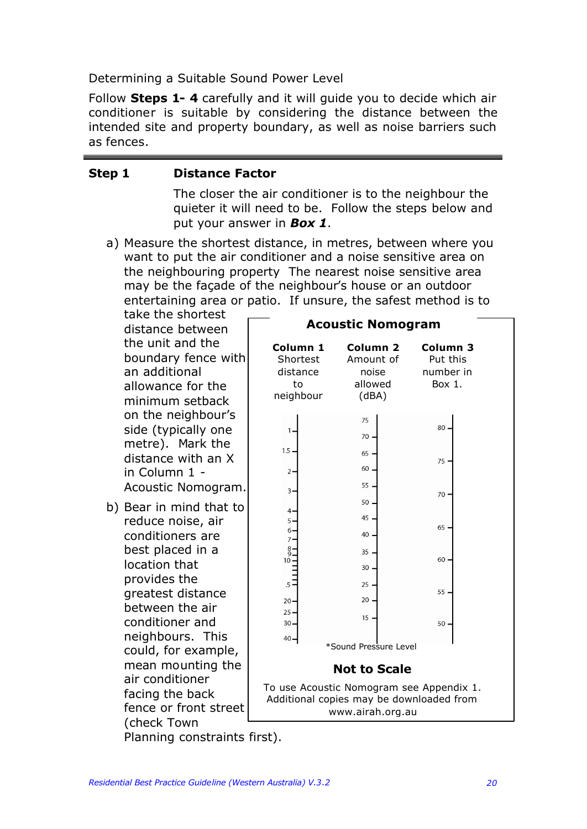Determining a Suitable Sound Power Level

Follow **Steps 1- 4** carefully and it will guide you to decide which air conditioner is suitable by considering the distance between the intended site and property boundary, as well as noise barriers such as fences.

### **Step 1 Distance Factor**

The closer the air conditioner is to the neighbour the quieter it will need to be. Follow the steps below and put your answer in *Box 1*.

a) Measure the shortest distance, in metres, between where you want to put the air conditioner and a noise sensitive area on the neighbouring property The nearest noise sensitive area may be the façade of the neighbour's house or an outdoor entertaining area or patio. If unsure, the safest method is to

take the shortest distance between the unit and the boundary fence with an additional allowance for the minimum setback on the neighbour's side (typically one metre). Mark the distance with an X in Column 1 - Acoustic Nomogram.

b) Bear in mind that to reduce noise, air conditioners are best placed in a location that provides the greatest distance between the air conditioner and neighbours. This could, for example, mean mounting the air conditioner facing the back fence or front street (check Town Planning constraints first).

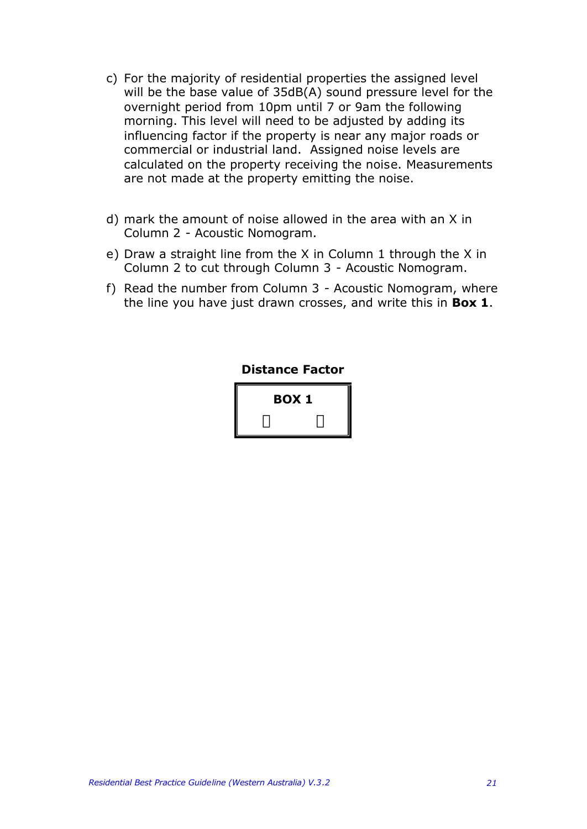- c) For the majority of residential properties the assigned level will be the base value of 35dB(A) sound pressure level for the overnight period from 10pm until 7 or 9am the following morning. This level will need to be adjusted by adding its influencing factor if the property is near any major roads or commercial or industrial land. Assigned noise levels are calculated on the property receiving the noise. Measurements are not made at the property emitting the noise.
- d) mark the amount of noise allowed in the area with an X in Column 2 - Acoustic Nomogram.
- e) Draw a straight line from the X in Column 1 through the X in Column 2 to cut through Column 3 - Acoustic Nomogram.
- f) Read the number from Column 3 Acoustic Nomogram, where the line you have just drawn crosses, and write this in **Box 1**.

### **Distance Factor**

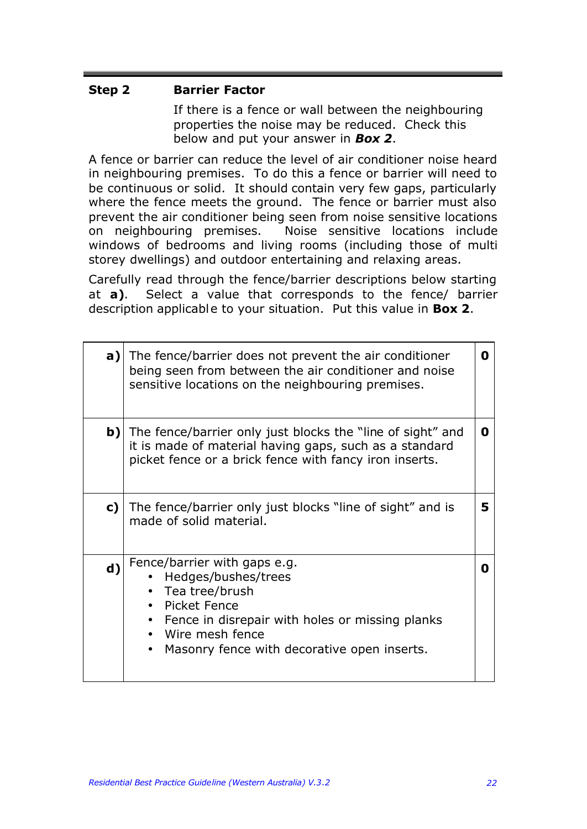## **Step 2 Barrier Factor**

If there is a fence or wall between the neighbouring properties the noise may be reduced. Check this below and put your answer in *Box 2*.

A fence or barrier can reduce the level of air conditioner noise heard in neighbouring premises. To do this a fence or barrier will need to be continuous or solid. It should contain very few gaps, particularly where the fence meets the ground. The fence or barrier must also prevent the air conditioner being seen from noise sensitive locations on neighbouring premises. Noise sensitive locations include windows of bedrooms and living rooms (including those of multi storey dwellings) and outdoor entertaining and relaxing areas.

Carefully read through the fence/barrier descriptions below starting at **a)**. Select a value that corresponds to the fence/ barrier description applicable to your situation. Put this value in **Box 2**.

| a)          | The fence/barrier does not prevent the air conditioner<br>being seen from between the air conditioner and noise<br>sensitive locations on the neighbouring premises.                                         | O |
|-------------|--------------------------------------------------------------------------------------------------------------------------------------------------------------------------------------------------------------|---|
| b)          | The fence/barrier only just blocks the "line of sight" and<br>it is made of material having gaps, such as a standard<br>picket fence or a brick fence with fancy iron inserts.                               | O |
| c)          | The fence/barrier only just blocks "line of sight" and is<br>made of solid material.                                                                                                                         | 5 |
| $\mathbf d$ | Fence/barrier with gaps e.g.<br>Hedges/bushes/trees<br>• Tea tree/brush<br>Picket Fence<br>Fence in disrepair with holes or missing planks<br>Wire mesh fence<br>Masonry fence with decorative open inserts. | n |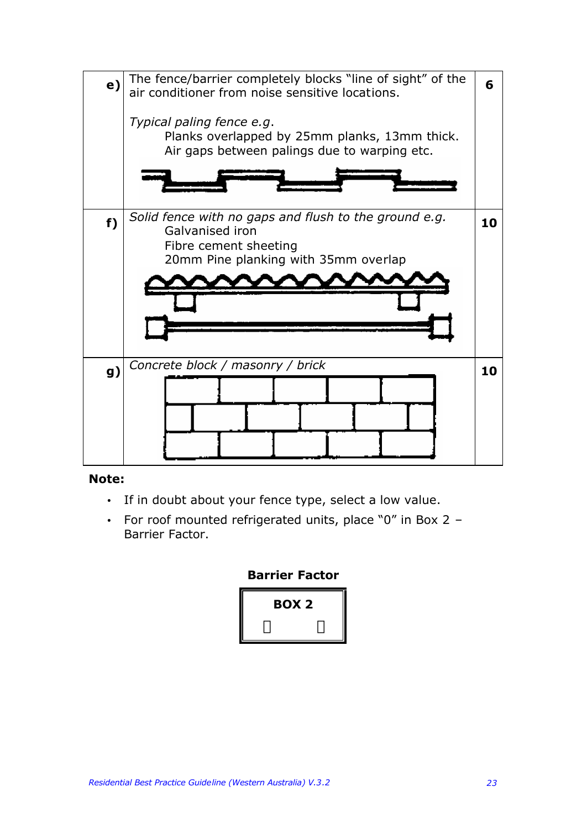

### **Note:**

- If in doubt about your fence type, select a low value.
- For roof mounted refrigerated units, place "0" in Box 2 Barrier Factor.

### **Barrier Factor**

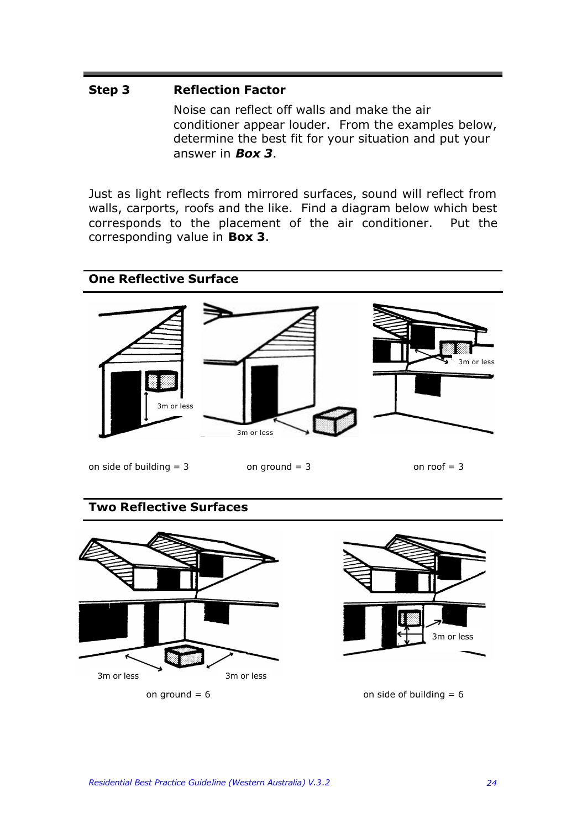### **Step 3 Reflection Factor**

Noise can reflect off walls and make the air conditioner appear louder. From the examples below, determine the best fit for your situation and put your answer in *Box 3*.

Just as light reflects from mirrored surfaces, sound will reflect from walls, carports, roofs and the like. Find a diagram below which best corresponds to the placement of the air conditioner. Put the corresponding value in **Box 3**.



### **Two Reflective Surfaces**





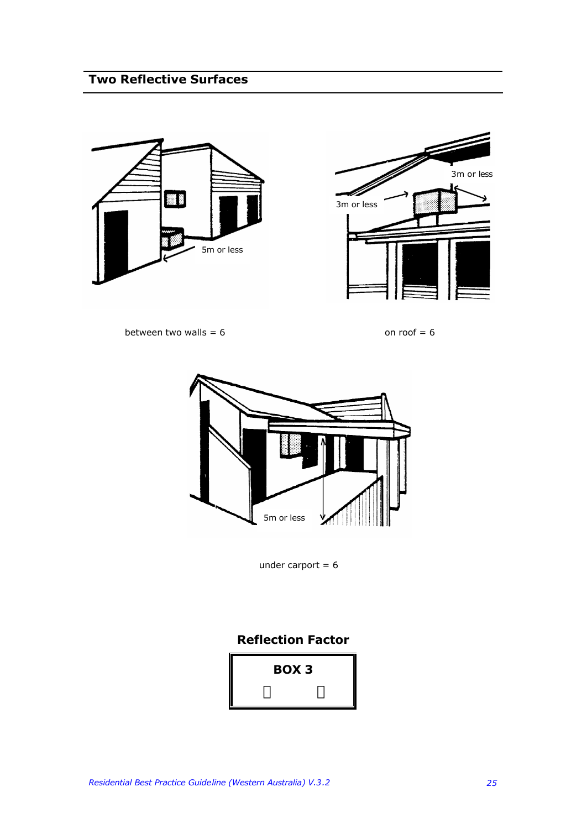# **Two Reflective Surfaces**





between two walls =  $6$  on roof =  $6$ 



under carport  $= 6$ 

### **Reflection Factor**

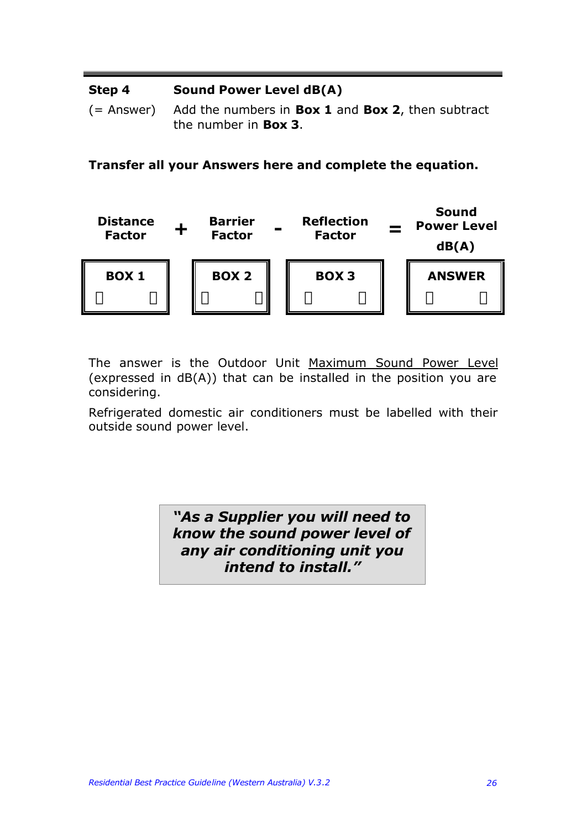#### **Step 4 Sound Power Level dB(A)**

(= Answer) Add the numbers in **Box 1** and **Box 2**, then subtract the number in **Box 3**.

**Transfer all your Answers here and complete the equation.**



The answer is the Outdoor Unit Maximum Sound Power Level (expressed in dB(A)) that can be installed in the position you are considering.

Refrigerated domestic air conditioners must be labelled with their outside sound power level.

> *"As a Supplier you will need to know the sound power level of any air conditioning unit you intend to install."*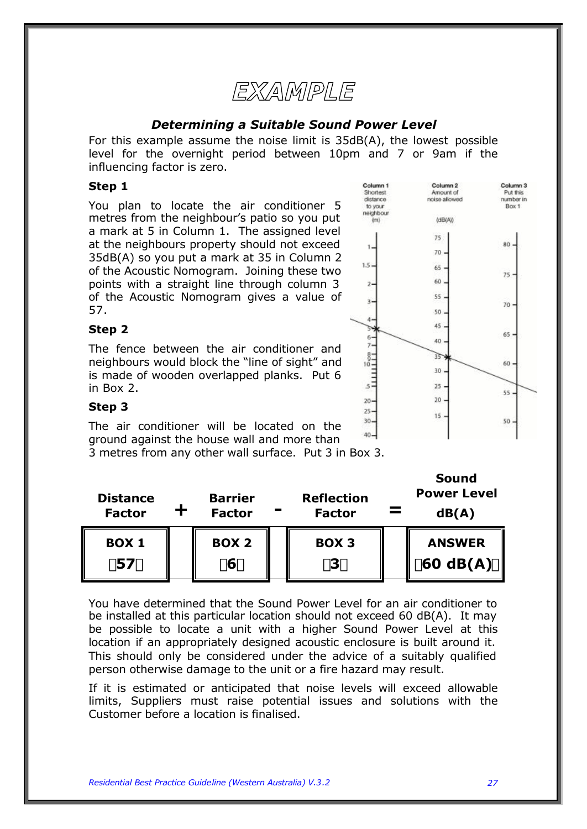# EXAMPLE

### *Determining a Suitable Sound Power Level*

For this example assume the noise limit is 35dB(A), the lowest possible level for the overnight period between 10pm and 7 or 9am if the influencing factor is zero.

### **Step 1**

You plan to locate the air conditioner 5 metres from the neighbour's patio so you put a mark at 5 in Column 1. The assigned level at the neighbours property should not exceed 35dB(A) so you put a mark at 35 in Column 2 of the Acoustic Nomogram. Joining these two points with a straight line through column 3 of the Acoustic Nomogram gives a value of 57.

### **Step 2**

The fence between the air conditioner and neighbours would block the "line of sight" and is made of wooden overlapped planks. Put 6 in Box 2.



**Sound** 

### **Step 3**

The air conditioner will be located on the ground against the house wall and more than

3 metres from any other wall surface. Put 3 in Box 3.

| <b>Distance</b><br><b>Factor</b> | <b>Barrier</b><br><b>Factor</b> | <b>Reflection</b><br><b>Factor</b> | Sound<br><b>Power Level</b><br>dB(A)                 |
|----------------------------------|---------------------------------|------------------------------------|------------------------------------------------------|
| <b>BOX 1</b><br>157 <sub>y</sub> | <b>BOX 2</b><br>í6ý             | <b>BOX 3</b><br>í3ý                | <b>ANSWER</b><br>$160 \text{ dB}(A)\hat{\mathbf{y}}$ |

You have determined that the Sound Power Level for an air conditioner to be installed at this particular location should not exceed 60 dB(A). It may be possible to locate a unit with a higher Sound Power Level at this location if an appropriately designed acoustic enclosure is built around it. This should only be considered under the advice of a suitably qualified person otherwise damage to the unit or a fire hazard may result.

If it is estimated or anticipated that noise levels will exceed allowable limits, Suppliers must raise potential issues and solutions with the Customer before a location is finalised.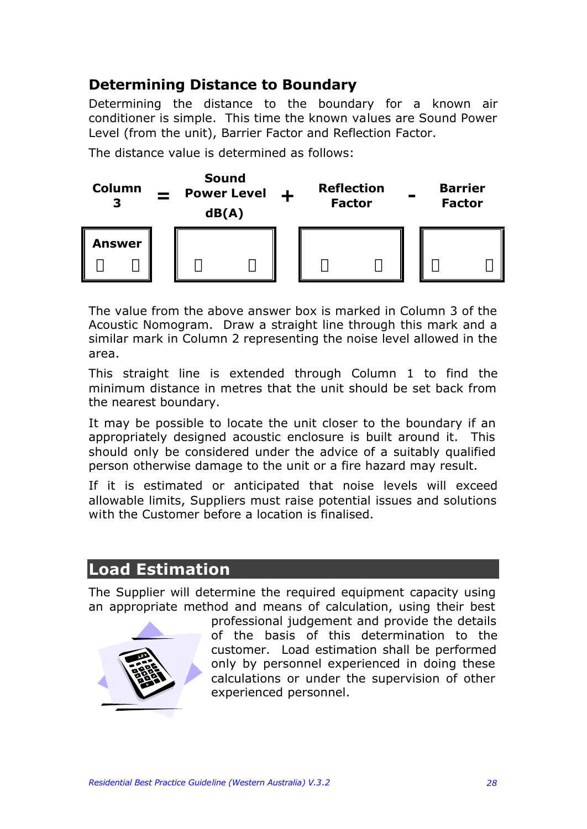# **Determining Distance to Boundary**

Determining the distance to the boundary for a known air conditioner is simple. This time the known values are Sound Power Level (from the unit), Barrier Factor and Reflection Factor.

The distance value is determined as follows:



The value from the above answer box is marked in Column 3 of the Acoustic Nomogram. Draw a straight line through this mark and a similar mark in Column 2 representing the noise level allowed in the area.

This straight line is extended through Column 1 to find the minimum distance in metres that the unit should be set back from the nearest boundary.

It may be possible to locate the unit closer to the boundary if an appropriately designed acoustic enclosure is built around it. This should only be considered under the advice of a suitably qualified person otherwise damage to the unit or a fire hazard may result.

If it is estimated or anticipated that noise levels will exceed allowable limits, Suppliers must raise potential issues and solutions with the Customer before a location is finalised.

# **Load Estimation**

The Supplier will determine the required equipment capacity using an appropriate method and means of calculation, using their best



professional judgement and provide the details of the basis of this determination to the customer. Load estimation shall be performed only by personnel experienced in doing these calculations or under the supervision of other experienced personnel.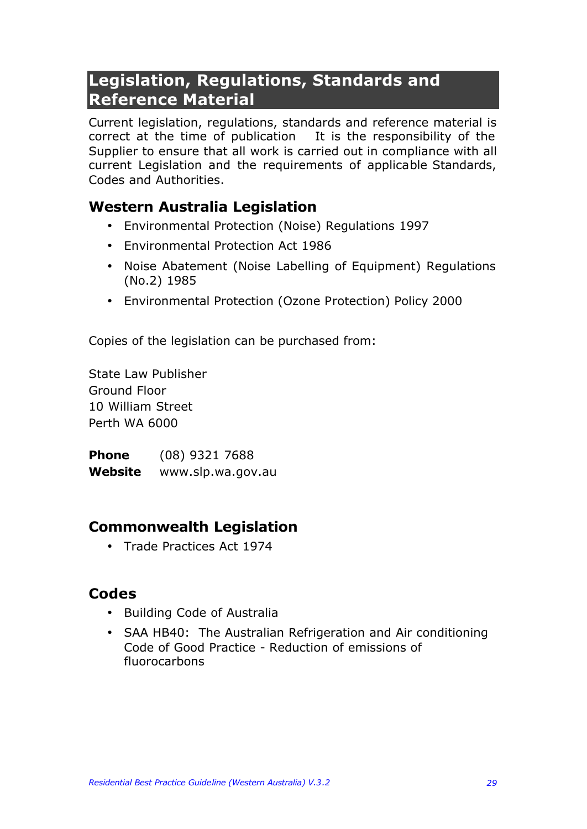# **Legislation, Regulations, Standards and Reference Material**

Current legislation, regulations, standards and reference material is correct at the time of publication It is the responsibility of the Supplier to ensure that all work is carried out in compliance with all current Legislation and the requirements of applicable Standards, Codes and Authorities.

## **Western Australia Legislation**

- Environmental Protection (Noise) Regulations 1997
- Environmental Protection Act 1986
- Noise Abatement (Noise Labelling of Equipment) Regulations (No.2) 1985
- Environmental Protection (Ozone Protection) Policy 2000

Copies of the legislation can be purchased from:

State Law Publisher Ground Floor 10 William Street Perth WA 6000

**Phone** (08) 9321 7688 **Website** www.slp.wa.gov.au

## **Commonwealth Legislation**

• Trade Practices Act 1974

## **Codes**

- Building Code of Australia
- SAA HB40: The Australian Refrigeration and Air conditioning Code of Good Practice - Reduction of emissions of fluorocarbons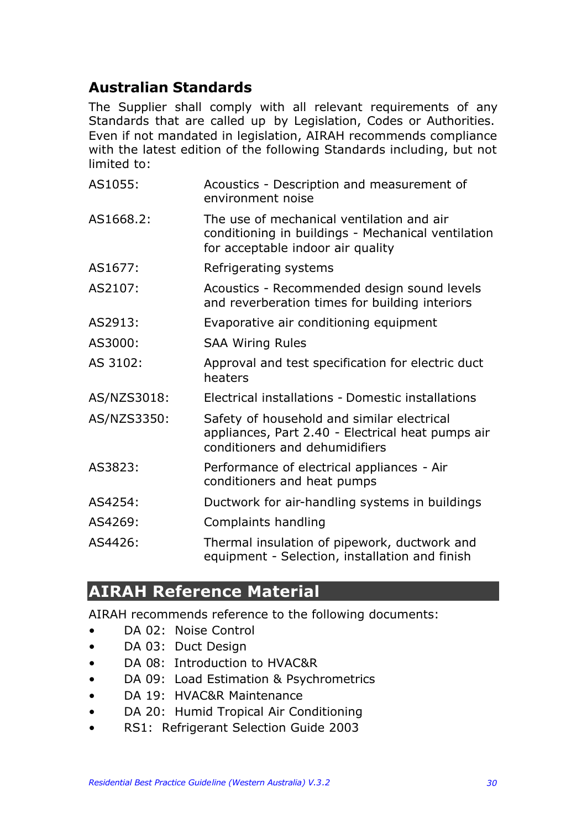# **Australian Standards**

The Supplier shall comply with all relevant requirements of any Standards that are called up by Legislation, Codes or Authorities. Even if not mandated in legislation, AIRAH recommends compliance with the latest edition of the following Standards including, but not limited to:

| AS1055:     | Acoustics - Description and measurement of<br>environment noise                                                                      |
|-------------|--------------------------------------------------------------------------------------------------------------------------------------|
| AS1668.2:   | The use of mechanical ventilation and air<br>conditioning in buildings - Mechanical ventilation<br>for acceptable indoor air quality |
| AS1677:     | Refrigerating systems                                                                                                                |
| AS2107:     | Acoustics - Recommended design sound levels<br>and reverberation times for building interiors                                        |
| AS2913:     | Evaporative air conditioning equipment                                                                                               |
| AS3000:     | <b>SAA Wiring Rules</b>                                                                                                              |
| AS 3102:    | Approval and test specification for electric duct<br>heaters                                                                         |
| AS/NZS3018: | Electrical installations - Domestic installations                                                                                    |
| AS/NZS3350: | Safety of household and similar electrical<br>appliances, Part 2.40 - Electrical heat pumps air<br>conditioners and dehumidifiers    |
| AS3823:     | Performance of electrical appliances - Air<br>conditioners and heat pumps                                                            |
| AS4254:     | Ductwork for air-handling systems in buildings                                                                                       |
| AS4269:     | Complaints handling                                                                                                                  |
| AS4426:     | Thermal insulation of pipework, ductwork and<br>equipment - Selection, installation and finish                                       |

# **AIRAH Reference Material**

AIRAH recommends reference to the following documents:

- DA 02: Noise Control
- DA 03: Duct Design
- DA 08: Introduction to HVAC&R
- DA 09: Load Estimation & Psychrometrics
- DA 19: HVAC&R Maintenance
- DA 20: Humid Tropical Air Conditioning
- RS1: Refrigerant Selection Guide 2003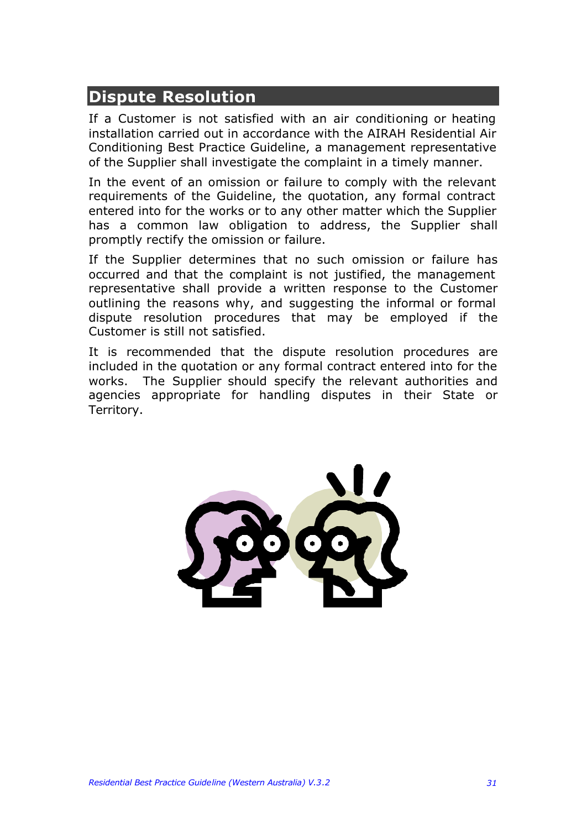# **Dispute Resolution**

If a Customer is not satisfied with an air conditioning or heating installation carried out in accordance with the AIRAH Residential Air Conditioning Best Practice Guideline, a management representative of the Supplier shall investigate the complaint in a timely manner.

In the event of an omission or failure to comply with the relevant requirements of the Guideline, the quotation, any formal contract entered into for the works or to any other matter which the Supplier has a common law obligation to address, the Supplier shall promptly rectify the omission or failure.

If the Supplier determines that no such omission or failure has occurred and that the complaint is not justified, the management representative shall provide a written response to the Customer outlining the reasons why, and suggesting the informal or formal dispute resolution procedures that may be employed if the Customer is still not satisfied.

It is recommended that the dispute resolution procedures are included in the quotation or any formal contract entered into for the works. The Supplier should specify the relevant authorities and agencies appropriate for handling disputes in their State or Territory.

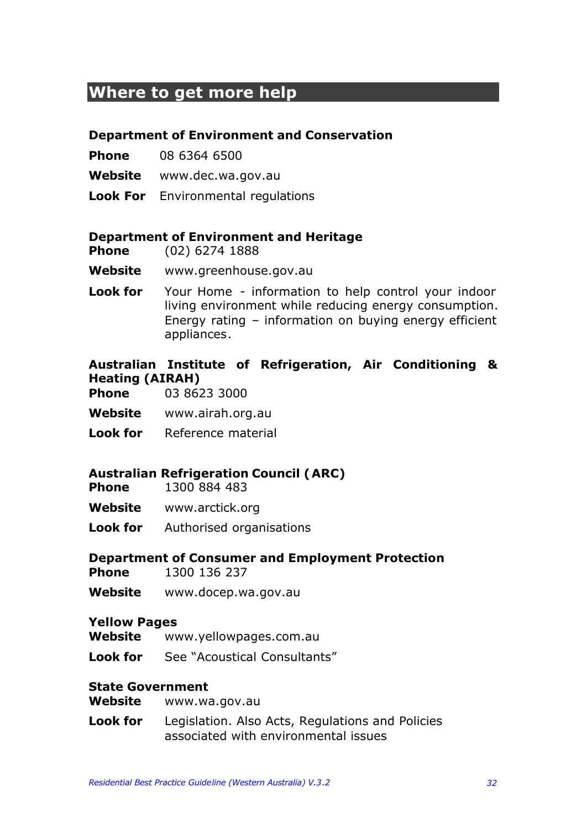# **Where to get more help**

### **Department of Environment and Conservation**

- **Phone** 08 6364 6500
- **Website** www.dec.wa.gov.au
- **Look For** Environmental regulations

### **Department of Environment and Heritage**

- **Phone** (02) 6274 1888
- **Website** www.greenhouse.gov.au
- **Look for** Your Home information to help control your indoor living environment while reducing energy consumption. Energy rating – information on buying energy efficient appliances.

## **Australian Institute of Refrigeration, Air Conditioning & Heating (AIRAH)**

- **Phone** 03 8623 3000
- **Website** www.airah.org.au
- **Look for** Reference material

### **Australian Refrigeration Council (ARC)**

- **Phone** 1300 884 483
- **Website** www.arctick.org
- **Look for** Authorised organisations

### **Department of Consumer and Employment Protection**

- **Phone** 1300 136 237
- **Website** www.docep.wa.gov.au

### **Yellow Pages**

- **Website** www.yellowpages.com.au
- **Look for** See "Acoustical Consultants"

### **State Government**

- **Website** www.wa.gov.au
- **Look for** Legislation. Also Acts, Regulations and Policies associated with environmental issues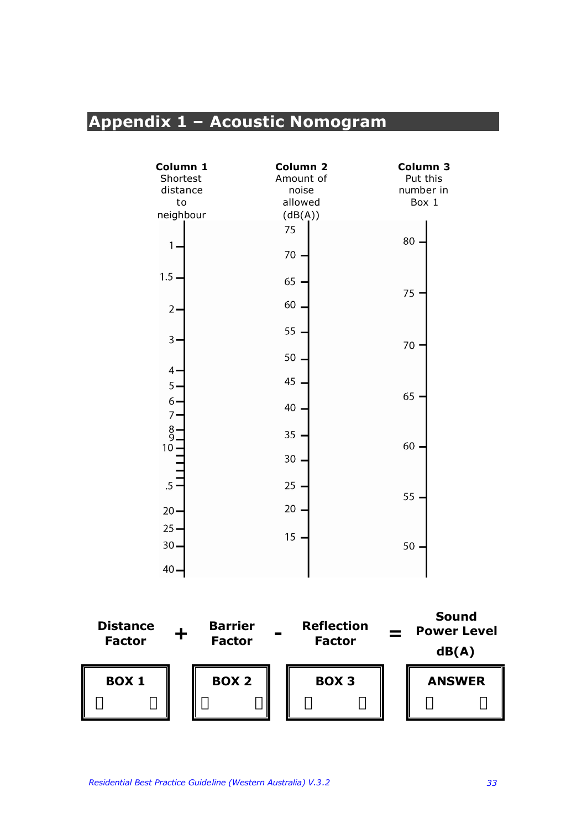# **Appendix 1 – Acoustic Nomogram**

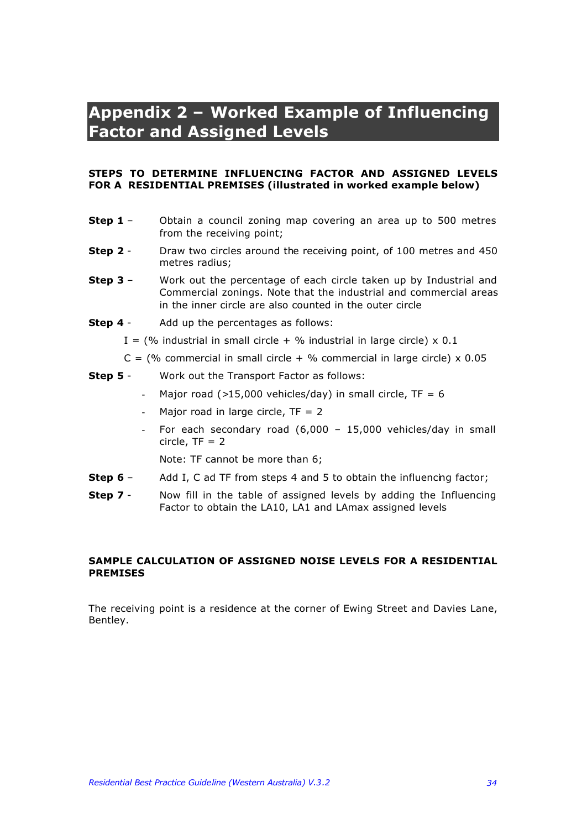# **Appendix 2 – Worked Example of Influencing Factor and Assigned Levels**

### **STEPS TO DETERMINE INFLUENCING FACTOR AND ASSIGNED LEVELS FOR A RESIDENTIAL PREMISES (illustrated in worked example below)**

- **Step 1** Obtain a council zoning map covering an area up to 500 metres from the receiving point;
- **Step 2** Draw two circles around the receiving point, of 100 metres and 450 metres radius;
- **Step 3** Work out the percentage of each circle taken up by Industrial and Commercial zonings. Note that the industrial and commercial areas in the inner circle are also counted in the outer circle
- **Step 4** Add up the percentages as follows:
	- I = (% industrial in small circle + % industrial in large circle)  $\times$  0.1
	- $C =$  (% commercial in small circle + % commercial in large circle) x 0.05
- **Step 5** Work out the Transport Factor as follows:
	- Major road  $(>15,000$  vehicles/day) in small circle, TF = 6
	- Major road in large circle,  $TF = 2$
	- For each secondary road  $(6,000 15,000$  vehicles/day in small circle,  $TF = 2$

Note: TF cannot be more than 6;

- **Step 6** Add I, C ad TF from steps 4 and 5 to obtain the influencing factor;
- **Step 7** Now fill in the table of assigned levels by adding the Influencing Factor to obtain the LA10, LA1 and LAmax assigned levels

### **SAMPLE CALCULATION OF ASSIGNED NOISE LEVELS FOR A RESIDENTIAL PREMISES**

The receiving point is a residence at the corner of Ewing Street and Davies Lane, Bentley.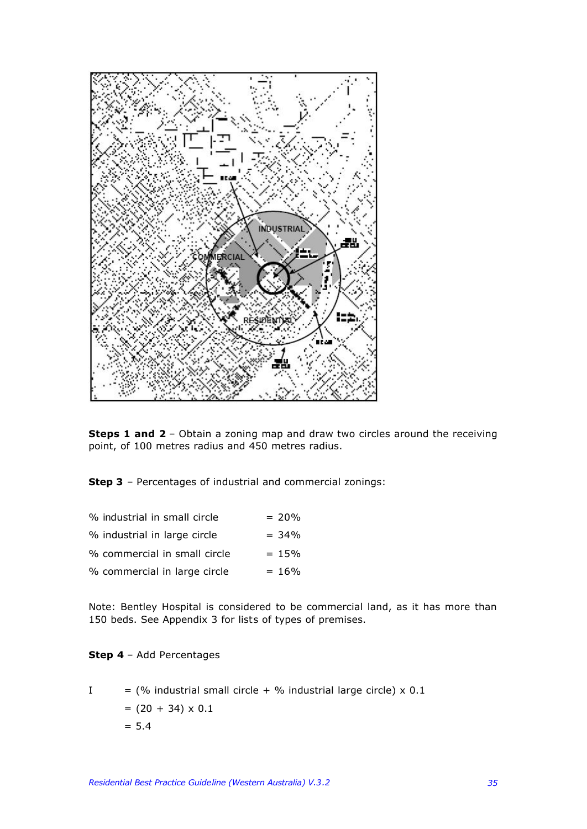

**Steps 1 and 2** - Obtain a zoning map and draw two circles around the receiving point, of 100 metres radius and 450 metres radius.

**Step 3** – Percentages of industrial and commercial zonings:

| % industrial in small circle | $= 20%$  |
|------------------------------|----------|
| % industrial in large circle | $= 34\%$ |
| % commercial in small circle | $= 15%$  |
| % commercial in large circle | $= 16\%$ |

Note: Bentley Hospital is considered to be commercial land, as it has more than 150 beds. See Appendix 3 for lists of types of premises.

### **Step 4** – Add Percentages

I = (
$$
\%
$$
 industrial small circle +  $\%$  industrial large circle) x 0.1  
=  $(20 + 34) \times 0.1$   
= 5.4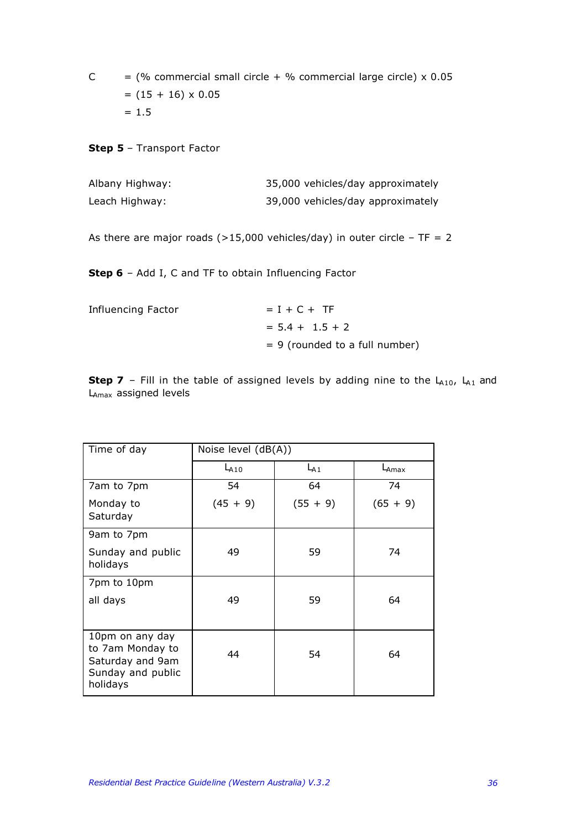$C =$  (% commercial small circle + % commercial large circle) x 0.05  $=$  (15 + 16)  $\times$  0.05  $= 1.5$ 

**Step 5** – Transport Factor

| Albany Highway: | 35,000 vehicles/day approximately |
|-----------------|-----------------------------------|
| Leach Highway:  | 39,000 vehicles/day approximately |

As there are major roads ( $>15,000$  vehicles/day) in outer circle - TF = 2

**Step 6** – Add I, C and TF to obtain Influencing Factor

| Influencing Factor | $= I + C + TF$                   |
|--------------------|----------------------------------|
|                    | $= 5.4 + 1.5 + 2$                |
|                    | $= 9$ (rounded to a full number) |

**Step 7** – Fill in the table of assigned levels by adding nine to the  $L_{A10}$ ,  $L_{A1}$  and LAmax assigned levels

| Time of day                                                                              | Noise level $(dB(A))$ |            |                   |  |
|------------------------------------------------------------------------------------------|-----------------------|------------|-------------------|--|
|                                                                                          | $L_{A10}$             | $L_{A1}$   | $L_{\text{Amax}}$ |  |
| 7am to 7pm                                                                               | 54                    | 64         | 74                |  |
| Monday to<br>Saturday                                                                    | $(45 + 9)$            | $(55 + 9)$ | $(65 + 9)$        |  |
| 9am to 7pm                                                                               |                       |            |                   |  |
| Sunday and public<br>holidays                                                            | 49                    | 59         | 74                |  |
| 7pm to 10pm<br>all days                                                                  | 49                    | 59         | 64                |  |
| 10pm on any day<br>to 7am Monday to<br>Saturday and 9am<br>Sunday and public<br>holidays | 44                    | 54         | 64                |  |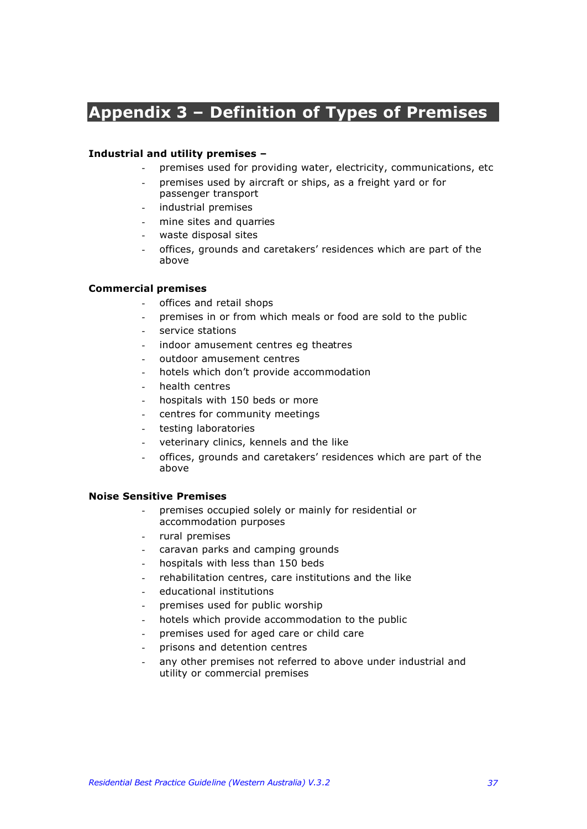# **Appendix 3 – Definition of Types of Premises**

### **Industrial and utility premises –**

- premises used for providing water, electricity, communications, etc
- premises used by aircraft or ships, as a freight yard or for passenger transport
- industrial premises
- mine sites and quarries
- waste disposal sites
- offices, grounds and caretakers' residences which are part of the above

### **Commercial premises**

- offices and retail shops
- premises in or from which meals or food are sold to the public
- service stations
- indoor amusement centres eg theatres
- outdoor amusement centres
- hotels which don't provide accommodation
- health centres
- hospitals with 150 beds or more
- centres for community meetings
- testing laboratories
- veterinary clinics, kennels and the like
- offices, grounds and caretakers' residences which are part of the above

### **Noise Sensitive Premises**

- premises occupied solely or mainly for residential or accommodation purposes
- rural premises
- caravan parks and camping grounds
- hospitals with less than 150 beds
- rehabilitation centres, care institutions and the like
- educational institutions
- premises used for public worship
- hotels which provide accommodation to the public
- premises used for aged care or child care
- prisons and detention centres
- any other premises not referred to above under industrial and utility or commercial premises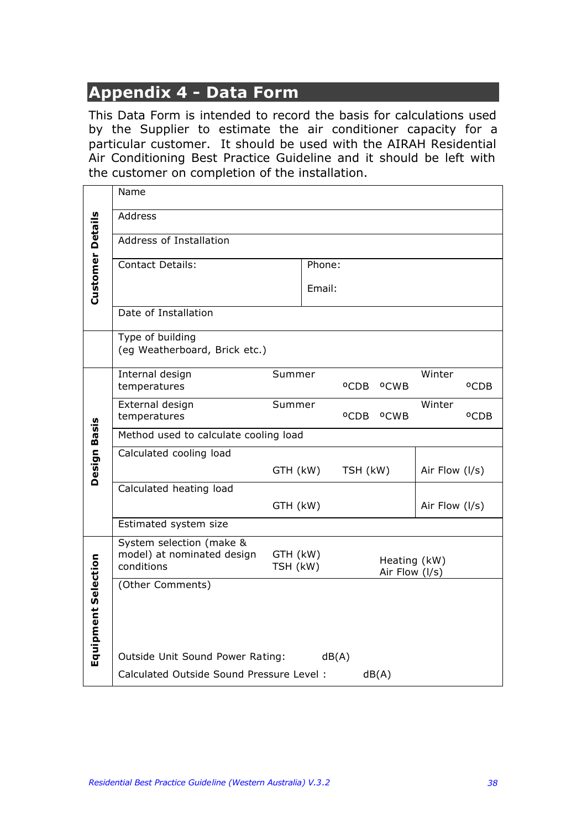# **Appendix 4 - Data Form**

This Data Form is intended to record the basis for calculations used by the Supplier to estimate the air conditioner capacity for a particular customer. It should be used with the AIRAH Residential Air Conditioning Best Practice Guideline and it should be left with the customer on completion of the installation.

|                         | Name                                                                 |                                                        |  |                  |                  |                  |                  |  |
|-------------------------|----------------------------------------------------------------------|--------------------------------------------------------|--|------------------|------------------|------------------|------------------|--|
|                         | <b>Address</b>                                                       |                                                        |  |                  |                  |                  |                  |  |
|                         | Address of Installation                                              |                                                        |  |                  |                  |                  |                  |  |
|                         | <b>Contact Details:</b>                                              | Phone:                                                 |  |                  |                  |                  |                  |  |
| <b>Customer Details</b> |                                                                      | Email:                                                 |  |                  |                  |                  |                  |  |
|                         | Date of Installation                                                 |                                                        |  |                  |                  |                  |                  |  |
|                         | Type of building<br>(eg Weatherboard, Brick etc.)                    |                                                        |  |                  |                  |                  |                  |  |
|                         | Internal design<br>temperatures                                      | Summer                                                 |  | °CDB             | °CWB             | Winter           | °CDB             |  |
|                         | External design<br>temperatures                                      | Summer                                                 |  | <sup>o</sup> CDB | <sup>o</sup> CWB | Winter           | <sup>o</sup> CDB |  |
|                         | Method used to calculate cooling load                                |                                                        |  |                  |                  |                  |                  |  |
| <b>Design Basis</b>     | Calculated cooling load                                              | GTH (kW)                                               |  | TSH (kW)         |                  | Air Flow (I/s)   |                  |  |
|                         | Calculated heating load                                              |                                                        |  |                  |                  |                  |                  |  |
|                         |                                                                      | GTH (kW)                                               |  |                  |                  | Air Flow $(1/s)$ |                  |  |
|                         | Estimated system size                                                |                                                        |  |                  |                  |                  |                  |  |
|                         | System selection (make &<br>model) at nominated design<br>conditions | GTH (kW)<br>Heating (kW)<br>TSH (kW)<br>Air Flow (I/s) |  |                  |                  |                  |                  |  |
| Equipment Selection     | (Other Comments)                                                     |                                                        |  |                  |                  |                  |                  |  |
|                         | Outside Unit Sound Power Rating:<br>dB(A)                            |                                                        |  |                  |                  |                  |                  |  |
|                         | Calculated Outside Sound Pressure Level:<br>dB(A)                    |                                                        |  |                  |                  |                  |                  |  |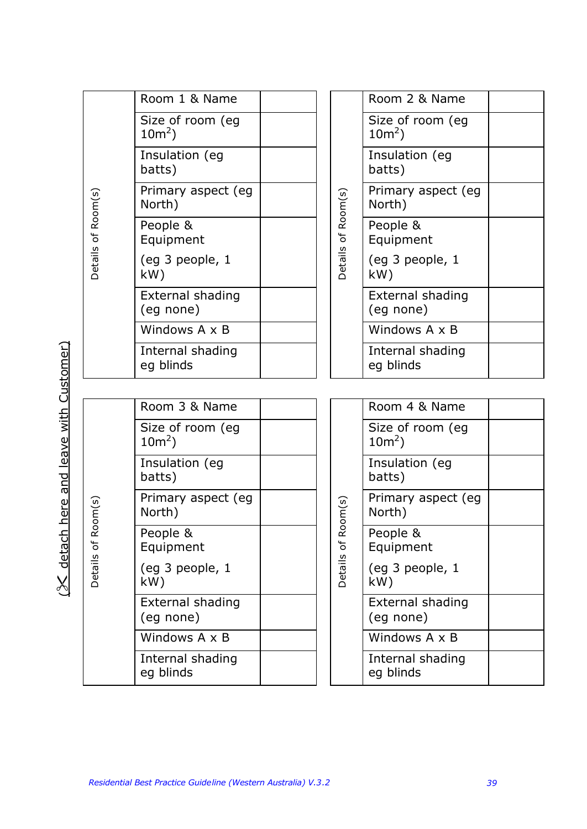| Room 1 & Name<br>Room 2 & Name<br>Size of room (eg<br>Size of room (eg<br>$10m^2$ )<br>$10m^2$ )<br>Insulation (eg<br>Insulation (eg<br>batts)<br>batts)<br>Primary aspect (eg<br>Primary aspect (eg<br>Details of Room(s)<br>of Room(s)<br>North)<br>North)<br>People &<br>People &<br>Equipment<br>Equipment<br>Details<br>(eg 3 people, 1<br>(eg 3 people, 1<br>kW)<br>kW)<br><b>External shading</b><br>External shading<br>(eg none)<br>(eg none)<br>Windows A x B<br>Windows A x B<br>Internal shading<br>Internal shading<br>eg blinds<br>eg blinds<br>Room 3 & Name<br>Room 4 & Name<br>Size of room (eg<br>Size of room (eg<br>$10m^2$ )<br>$10m^2$ )<br>Insulation (eg<br>Insulation (eg<br>batts)<br>batts)<br>Primary aspect (eg<br>Primary aspect (eg<br>Room(s)<br>om(s)<br>North)<br>North)<br>2<br>People &<br>People &<br>$\mathfrak{b}$<br>$\sigma$<br>Equipment<br>Equipment<br><b>Details</b><br>Details<br>(eg 3 people, 1<br>(eg 3 people, 1<br>kW)<br>kW)<br>External shading<br>External shading<br>(eg none)<br>(eg none)<br>Windows A x B<br>Windows A x B<br>Internal shading<br>Internal shading<br>eg blinds<br>eg blinds |  |  |  |
|--------------------------------------------------------------------------------------------------------------------------------------------------------------------------------------------------------------------------------------------------------------------------------------------------------------------------------------------------------------------------------------------------------------------------------------------------------------------------------------------------------------------------------------------------------------------------------------------------------------------------------------------------------------------------------------------------------------------------------------------------------------------------------------------------------------------------------------------------------------------------------------------------------------------------------------------------------------------------------------------------------------------------------------------------------------------------------------------------------------------------------------------------------|--|--|--|
|                                                                                                                                                                                                                                                                                                                                                                                                                                                                                                                                                                                                                                                                                                                                                                                                                                                                                                                                                                                                                                                                                                                                                        |  |  |  |
|                                                                                                                                                                                                                                                                                                                                                                                                                                                                                                                                                                                                                                                                                                                                                                                                                                                                                                                                                                                                                                                                                                                                                        |  |  |  |
|                                                                                                                                                                                                                                                                                                                                                                                                                                                                                                                                                                                                                                                                                                                                                                                                                                                                                                                                                                                                                                                                                                                                                        |  |  |  |
|                                                                                                                                                                                                                                                                                                                                                                                                                                                                                                                                                                                                                                                                                                                                                                                                                                                                                                                                                                                                                                                                                                                                                        |  |  |  |
|                                                                                                                                                                                                                                                                                                                                                                                                                                                                                                                                                                                                                                                                                                                                                                                                                                                                                                                                                                                                                                                                                                                                                        |  |  |  |
|                                                                                                                                                                                                                                                                                                                                                                                                                                                                                                                                                                                                                                                                                                                                                                                                                                                                                                                                                                                                                                                                                                                                                        |  |  |  |
|                                                                                                                                                                                                                                                                                                                                                                                                                                                                                                                                                                                                                                                                                                                                                                                                                                                                                                                                                                                                                                                                                                                                                        |  |  |  |
|                                                                                                                                                                                                                                                                                                                                                                                                                                                                                                                                                                                                                                                                                                                                                                                                                                                                                                                                                                                                                                                                                                                                                        |  |  |  |
|                                                                                                                                                                                                                                                                                                                                                                                                                                                                                                                                                                                                                                                                                                                                                                                                                                                                                                                                                                                                                                                                                                                                                        |  |  |  |
|                                                                                                                                                                                                                                                                                                                                                                                                                                                                                                                                                                                                                                                                                                                                                                                                                                                                                                                                                                                                                                                                                                                                                        |  |  |  |
|                                                                                                                                                                                                                                                                                                                                                                                                                                                                                                                                                                                                                                                                                                                                                                                                                                                                                                                                                                                                                                                                                                                                                        |  |  |  |
|                                                                                                                                                                                                                                                                                                                                                                                                                                                                                                                                                                                                                                                                                                                                                                                                                                                                                                                                                                                                                                                                                                                                                        |  |  |  |
|                                                                                                                                                                                                                                                                                                                                                                                                                                                                                                                                                                                                                                                                                                                                                                                                                                                                                                                                                                                                                                                                                                                                                        |  |  |  |
|                                                                                                                                                                                                                                                                                                                                                                                                                                                                                                                                                                                                                                                                                                                                                                                                                                                                                                                                                                                                                                                                                                                                                        |  |  |  |
|                                                                                                                                                                                                                                                                                                                                                                                                                                                                                                                                                                                                                                                                                                                                                                                                                                                                                                                                                                                                                                                                                                                                                        |  |  |  |
|                                                                                                                                                                                                                                                                                                                                                                                                                                                                                                                                                                                                                                                                                                                                                                                                                                                                                                                                                                                                                                                                                                                                                        |  |  |  |
|                                                                                                                                                                                                                                                                                                                                                                                                                                                                                                                                                                                                                                                                                                                                                                                                                                                                                                                                                                                                                                                                                                                                                        |  |  |  |
|                                                                                                                                                                                                                                                                                                                                                                                                                                                                                                                                                                                                                                                                                                                                                                                                                                                                                                                                                                                                                                                                                                                                                        |  |  |  |
|                                                                                                                                                                                                                                                                                                                                                                                                                                                                                                                                                                                                                                                                                                                                                                                                                                                                                                                                                                                                                                                                                                                                                        |  |  |  |